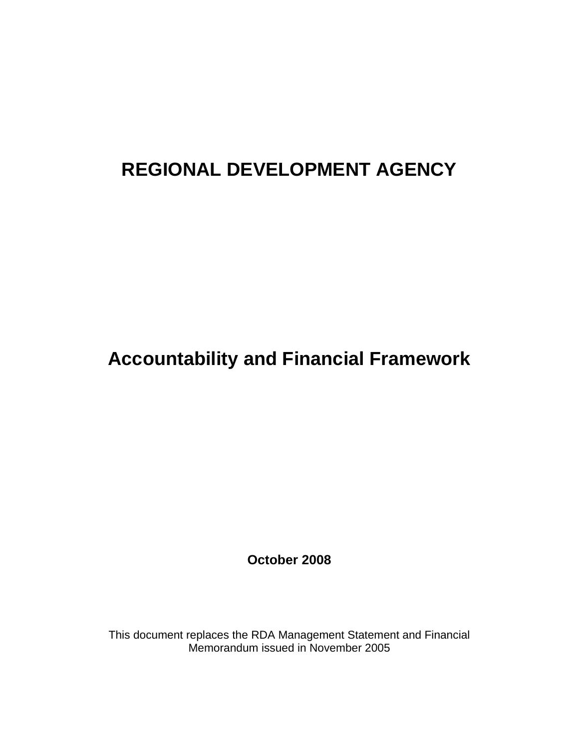# **REGIONAL DEVELOPMENT AGENCY**

# **Accountability and Financial Framework**

**October 2008** 

This document replaces the RDA Management Statement and Financial Memorandum issued in November 2005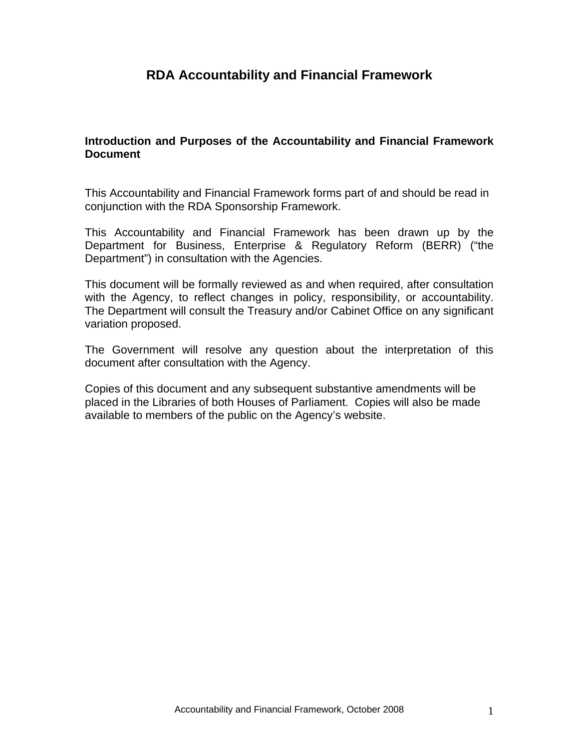## **RDA Accountability and Financial Framework**

#### **Introduction and Purposes of the Accountability and Financial Framework Document**

This Accountability and Financial Framework forms part of and should be read in conjunction with the RDA Sponsorship Framework.

This Accountability and Financial Framework has been drawn up by the Department for Business, Enterprise & Regulatory Reform (BERR) ("the Department") in consultation with the Agencies.

This document will be formally reviewed as and when required, after consultation with the Agency, to reflect changes in policy, responsibility, or accountability. The Department will consult the Treasury and/or Cabinet Office on any significant variation proposed.

The Government will resolve any question about the interpretation of this document after consultation with the Agency.

Copies of this document and any subsequent substantive amendments will be placed in the Libraries of both Houses of Parliament. Copies will also be made available to members of the public on the Agency's website.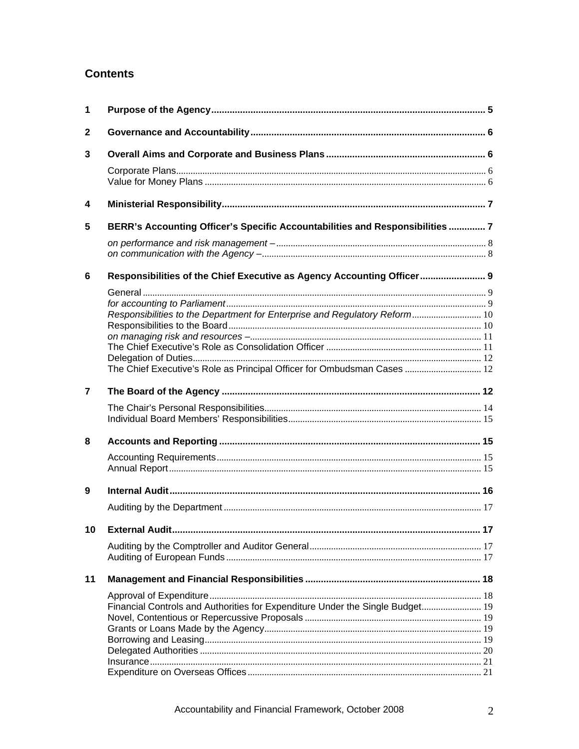## **Contents**

| $\mathbf 1$  |                                                                               |    |
|--------------|-------------------------------------------------------------------------------|----|
| $\mathbf{2}$ |                                                                               |    |
| 3            |                                                                               |    |
|              |                                                                               |    |
|              |                                                                               |    |
| 4            |                                                                               |    |
| 5            | BERR's Accounting Officer's Specific Accountabilities and Responsibilities  7 |    |
|              |                                                                               |    |
| 6            | Responsibilities of the Chief Executive as Agency Accounting Officer 9        |    |
|              |                                                                               |    |
|              |                                                                               |    |
|              | Responsibilities to the Department for Enterprise and Regulatory Reform 10    |    |
|              |                                                                               |    |
|              |                                                                               |    |
|              |                                                                               |    |
|              | The Chief Executive's Role as Principal Officer for Ombudsman Cases  12       |    |
|              |                                                                               |    |
| 7            |                                                                               |    |
|              |                                                                               |    |
|              |                                                                               |    |
| 8            |                                                                               |    |
|              |                                                                               |    |
|              |                                                                               |    |
| 9            |                                                                               |    |
|              |                                                                               |    |
|              |                                                                               |    |
| 10           |                                                                               | 17 |
|              |                                                                               |    |
|              |                                                                               |    |
| 11           |                                                                               |    |
|              |                                                                               |    |
|              | Financial Controls and Authorities for Expenditure Under the Single Budget 19 |    |
|              |                                                                               |    |
|              |                                                                               |    |
|              |                                                                               |    |
|              |                                                                               |    |
|              |                                                                               |    |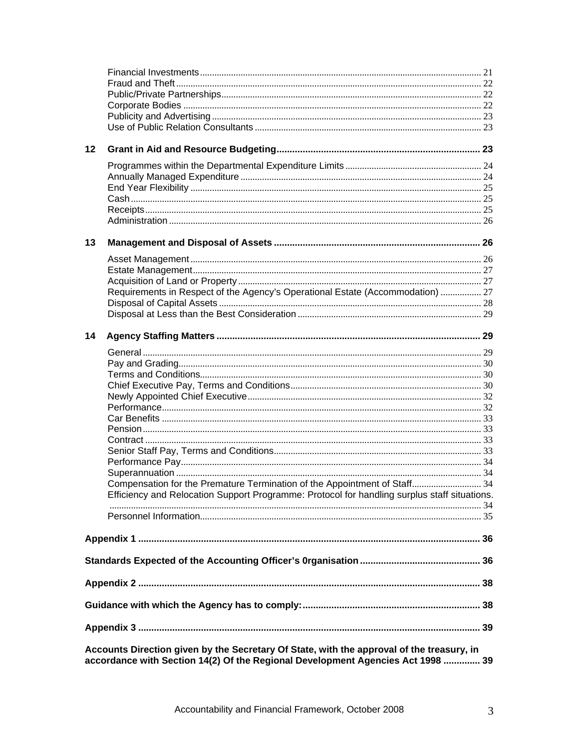| 12 |                                                                                                                                                                              |  |  |  |  |
|----|------------------------------------------------------------------------------------------------------------------------------------------------------------------------------|--|--|--|--|
|    |                                                                                                                                                                              |  |  |  |  |
|    |                                                                                                                                                                              |  |  |  |  |
|    |                                                                                                                                                                              |  |  |  |  |
|    |                                                                                                                                                                              |  |  |  |  |
|    |                                                                                                                                                                              |  |  |  |  |
|    |                                                                                                                                                                              |  |  |  |  |
| 13 |                                                                                                                                                                              |  |  |  |  |
|    |                                                                                                                                                                              |  |  |  |  |
|    |                                                                                                                                                                              |  |  |  |  |
|    |                                                                                                                                                                              |  |  |  |  |
|    | Requirements in Respect of the Agency's Operational Estate (Accommodation)  27                                                                                               |  |  |  |  |
|    |                                                                                                                                                                              |  |  |  |  |
|    |                                                                                                                                                                              |  |  |  |  |
| 14 |                                                                                                                                                                              |  |  |  |  |
|    |                                                                                                                                                                              |  |  |  |  |
|    |                                                                                                                                                                              |  |  |  |  |
|    |                                                                                                                                                                              |  |  |  |  |
|    |                                                                                                                                                                              |  |  |  |  |
|    |                                                                                                                                                                              |  |  |  |  |
|    |                                                                                                                                                                              |  |  |  |  |
|    |                                                                                                                                                                              |  |  |  |  |
|    |                                                                                                                                                                              |  |  |  |  |
|    |                                                                                                                                                                              |  |  |  |  |
|    |                                                                                                                                                                              |  |  |  |  |
|    |                                                                                                                                                                              |  |  |  |  |
|    | Compensation for the Premature Termination of the Appointment of Staff 34<br>Efficiency and Relocation Support Programme: Protocol for handling surplus staff situations.    |  |  |  |  |
|    |                                                                                                                                                                              |  |  |  |  |
|    |                                                                                                                                                                              |  |  |  |  |
|    |                                                                                                                                                                              |  |  |  |  |
|    |                                                                                                                                                                              |  |  |  |  |
|    |                                                                                                                                                                              |  |  |  |  |
|    |                                                                                                                                                                              |  |  |  |  |
|    |                                                                                                                                                                              |  |  |  |  |
|    |                                                                                                                                                                              |  |  |  |  |
|    | Accounts Direction given by the Secretary Of State, with the approval of the treasury, in<br>accordance with Section 14(2) Of the Regional Development Agencies Act 1998  39 |  |  |  |  |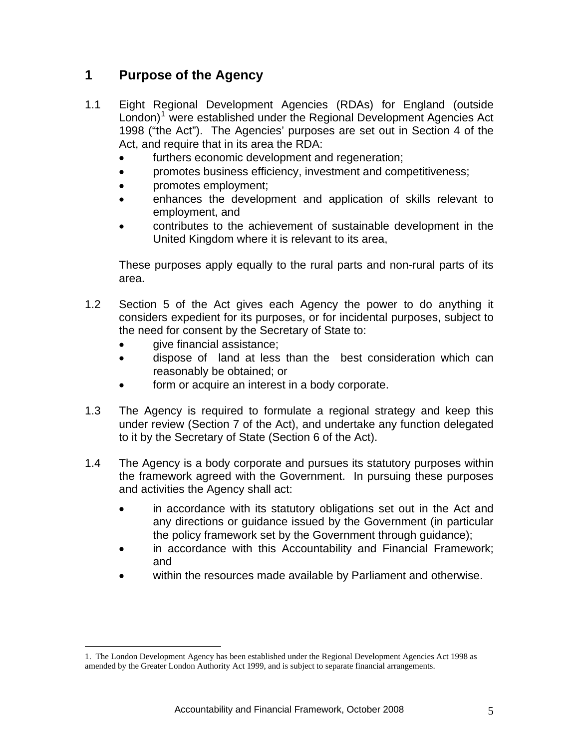## <span id="page-5-0"></span>**1 Purpose of the Agency**

- 1.1 Eight Regional Development Agencies (RDAs) for England (outside London)<sup>[1](#page-5-1)</sup> were established under the Regional Development Agencies Act 1998 ("the Act"). The Agencies' purposes are set out in Section 4 of the Act, and require that in its area the RDA:
	- furthers economic development and regeneration;
	- promotes business efficiency, investment and competitiveness;
	- promotes employment;
	- enhances the development and application of skills relevant to employment, and
	- contributes to the achievement of sustainable development in the United Kingdom where it is relevant to its area,

These purposes apply equally to the rural parts and non-rural parts of its area.

- 1.2 Section 5 of the Act gives each Agency the power to do anything it considers expedient for its purposes, or for incidental purposes, subject to the need for consent by the Secretary of State to:
	- **give financial assistance:**

 $\overline{a}$ 

- dispose of land at less than the best consideration which can reasonably be obtained; or
- form or acquire an interest in a body corporate.
- 1.3 The Agency is required to formulate a regional strategy and keep this under review (Section 7 of the Act), and undertake any function delegated to it by the Secretary of State (Section 6 of the Act).
- 1.4 The Agency is a body corporate and pursues its statutory purposes within the framework agreed with the Government. In pursuing these purposes and activities the Agency shall act:
	- in accordance with its statutory obligations set out in the Act and any directions or guidance issued by the Government (in particular the policy framework set by the Government through guidance);
	- in accordance with this Accountability and Financial Framework; and
	- within the resources made available by Parliament and otherwise.

<span id="page-5-1"></span><sup>1.</sup> The London Development Agency has been established under the Regional Development Agencies Act 1998 as amended by the Greater London Authority Act 1999, and is subject to separate financial arrangements.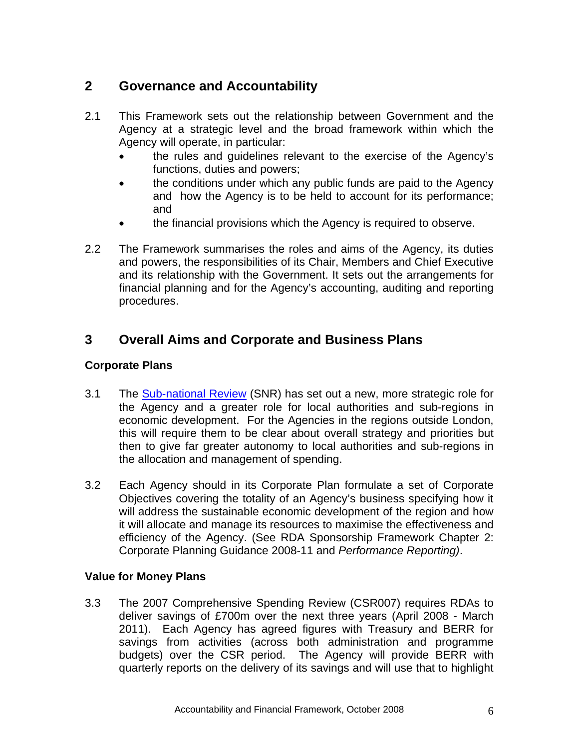## <span id="page-6-0"></span>**2 Governance and Accountability**

- 2.1 This Framework sets out the relationship between Government and the Agency at a strategic level and the broad framework within which the Agency will operate, in particular:
	- the rules and guidelines relevant to the exercise of the Agency's functions, duties and powers;
	- the conditions under which any public funds are paid to the Agency and how the Agency is to be held to account for its performance; and
	- the financial provisions which the Agency is required to observe.
- 2.2 The Framework summarises the roles and aims of the Agency, its duties and powers, the responsibilities of its Chair, Members and Chief Executive and its relationship with the Government. It sets out the arrangements for financial planning and for the Agency's accounting, auditing and reporting procedures.

## **3 Overall Aims and Corporate and Business Plans**

#### **Corporate Plans**

- 3.1 The [Sub-national Review](http://www.berr.gov.uk/files/file40436.pdf) (SNR) has set out a new, more strategic role for the Agency and a greater role for local authorities and sub-regions in economic development. For the Agencies in the regions outside London, this will require them to be clear about overall strategy and priorities but then to give far greater autonomy to local authorities and sub-regions in the allocation and management of spending.
- 3.2 Each Agency should in its Corporate Plan formulate a set of Corporate Objectives covering the totality of an Agency's business specifying how it will address the sustainable economic development of the region and how it will allocate and manage its resources to maximise the effectiveness and efficiency of the Agency. (See RDA Sponsorship Framework Chapter 2: Corporate Planning Guidance 2008-11 and *Performance Reporting)*.

#### **Value for Money Plans**

3.3 The 2007 Comprehensive Spending Review (CSR007) requires RDAs to deliver savings of £700m over the next three years (April 2008 - March 2011). Each Agency has agreed figures with Treasury and BERR for savings from activities (across both administration and programme budgets) over the CSR period. The Agency will provide BERR with quarterly reports on the delivery of its savings and will use that to highlight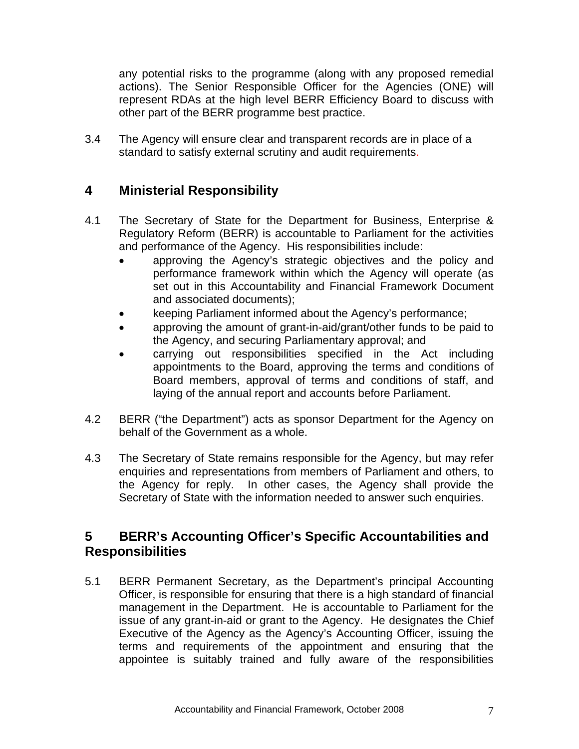<span id="page-7-0"></span>any potential risks to the programme (along with any proposed remedial actions). The Senior Responsible Officer for the Agencies (ONE) will represent RDAs at the high level BERR Efficiency Board to discuss with other part of the BERR programme best practice.

3.4 The Agency will ensure clear and transparent records are in place of a standard to satisfy external scrutiny and audit requirements.

## **4 Ministerial Responsibility**

- 4.1 The Secretary of State for the Department for Business, Enterprise & Regulatory Reform (BERR) is accountable to Parliament for the activities and performance of the Agency. His responsibilities include:
	- approving the Agency's strategic objectives and the policy and performance framework within which the Agency will operate (as set out in this Accountability and Financial Framework Document and associated documents);
	- keeping Parliament informed about the Agency's performance;
	- approving the amount of grant-in-aid/grant/other funds to be paid to the Agency, and securing Parliamentary approval; and
	- carrying out responsibilities specified in the Act including appointments to the Board, approving the terms and conditions of Board members, approval of terms and conditions of staff, and laying of the annual report and accounts before Parliament.
- 4.2 BERR ("the Department") acts as sponsor Department for the Agency on behalf of the Government as a whole.
- 4.3 The Secretary of State remains responsible for the Agency, but may refer enquiries and representations from members of Parliament and others, to the Agency for reply. In other cases, the Agency shall provide the Secretary of State with the information needed to answer such enquiries.

## **5 BERR's Accounting Officer's Specific Accountabilities and Responsibilities**

5.1 BERR Permanent Secretary, as the Department's principal Accounting Officer, is responsible for ensuring that there is a high standard of financial management in the Department. He is accountable to Parliament for the issue of any grant-in-aid or grant to the Agency. He designates the Chief Executive of the Agency as the Agency's Accounting Officer, issuing the terms and requirements of the appointment and ensuring that the appointee is suitably trained and fully aware of the responsibilities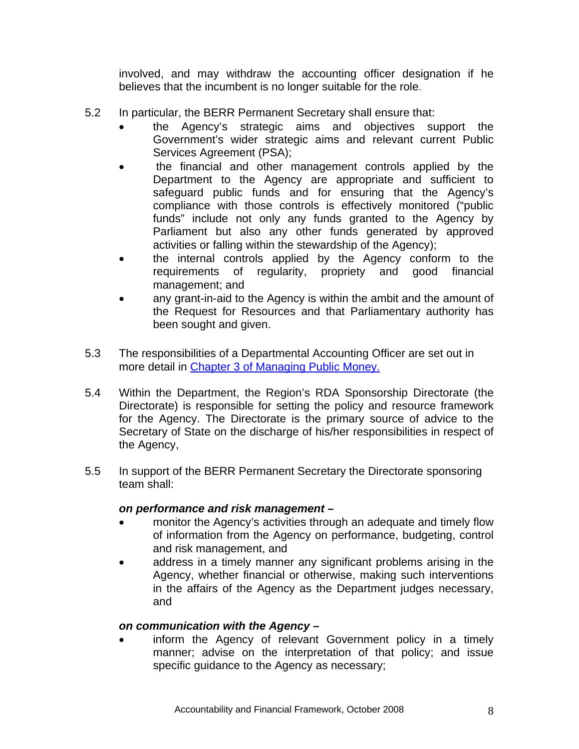involved, and may withdraw the accounting officer designation if he believes that the incumbent is no longer suitable for the role.

- <span id="page-8-0"></span>5.2 In particular, the BERR Permanent Secretary shall ensure that:
	- the Agency's strategic aims and objectives support the Government's wider strategic aims and relevant current Public Services Agreement (PSA);
	- the financial and other management controls applied by the Department to the Agency are appropriate and sufficient to safeguard public funds and for ensuring that the Agency's compliance with those controls is effectively monitored ("public funds" include not only any funds granted to the Agency by Parliament but also any other funds generated by approved activities or falling within the stewardship of the Agency);
	- the internal controls applied by the Agency conform to the requirements of regularity, propriety and good financial management; and
	- any grant-in-aid to the Agency is within the ambit and the amount of the Request for Resources and that Parliamentary authority has been sought and given.
- 5.3 The responsibilities of a Departmental Accounting Officer are set out in more detail in [Chapter 3 of Managing Public Money.](http://documents.treasury.gov.uk/mpm/mpm_ch3.pdf)
- 5.4 Within the Department, the Region's RDA Sponsorship Directorate (the Directorate) is responsible for setting the policy and resource framework for the Agency. The Directorate is the primary source of advice to the Secretary of State on the discharge of his/her responsibilities in respect of the Agency,
- 5.5 In support of the BERR Permanent Secretary the Directorate sponsoring team shall:

#### *on performance and risk management –*

- monitor the Agency's activities through an adequate and timely flow of information from the Agency on performance, budgeting, control and risk management, and
- address in a timely manner any significant problems arising in the Agency, whether financial or otherwise, making such interventions in the affairs of the Agency as the Department judges necessary, and

#### *on communication with the Agency –*

inform the Agency of relevant Government policy in a timely manner; advise on the interpretation of that policy; and issue specific guidance to the Agency as necessary;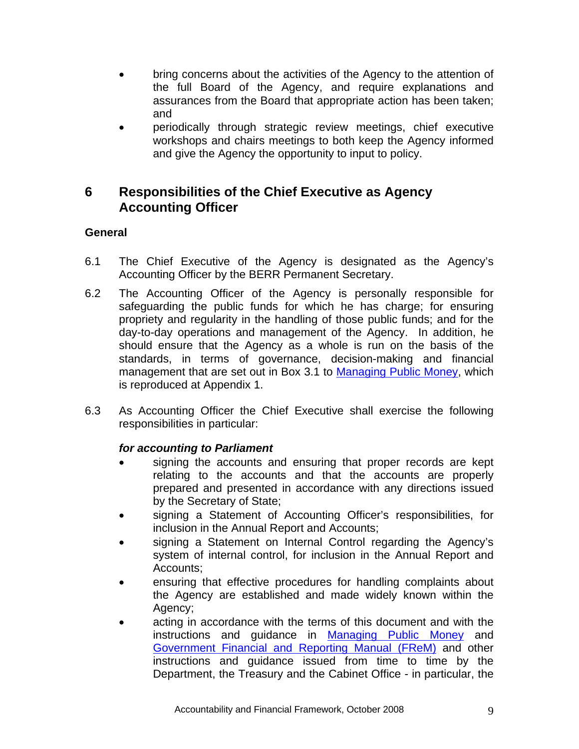- <span id="page-9-0"></span>• bring concerns about the activities of the Agency to the attention of the full Board of the Agency, and require explanations and assurances from the Board that appropriate action has been taken; and
- periodically through strategic review meetings, chief executive workshops and chairs meetings to both keep the Agency informed and give the Agency the opportunity to input to policy.

## **6 Responsibilities of the Chief Executive as Agency Accounting Officer**

#### **General**

- 6.1 The Chief Executive of the Agency is designated as the Agency's Accounting Officer by the BERR Permanent Secretary.
- 6.2 The Accounting Officer of the Agency is personally responsible for safeguarding the public funds for which he has charge; for ensuring propriety and regularity in the handling of those public funds; and for the day-to-day operations and management of the Agency. In addition, he should ensure that the Agency as a whole is run on the basis of the standards, in terms of governance, decision-making and financial management that are set out in Box 3.1 to [Managing Public Money](http://documents.treasury.gov.uk/mpm/mpm_ch3.pdf), which is reproduced at Appendix 1.
- 6.3 As Accounting Officer the Chief Executive shall exercise the following responsibilities in particular:

#### *for accounting to Parliament*

- signing the accounts and ensuring that proper records are kept relating to the accounts and that the accounts are properly prepared and presented in accordance with any directions issued by the Secretary of State;
- signing a Statement of Accounting Officer's responsibilities, for inclusion in the Annual Report and Accounts;
- signing a Statement on Internal Control regarding the Agency's system of internal control, for inclusion in the Annual Report and Accounts;
- ensuring that effective procedures for handling complaints about the Agency are established and made widely known within the Agency;
- acting in accordance with the terms of this document and with the instructions and guidance in [Managing Public Money](http://www.hm-treasury.gov.uk/documents/public_spending_reporting/governance_risk/psr_managingpublicmoney_publication.cfm) and [Government Financial and Reporting Manual \(FReM\)](http://www.financial-reporting.gov.uk/) and other instructions and guidance issued from time to time by the Department, the Treasury and the Cabinet Office - in particular, the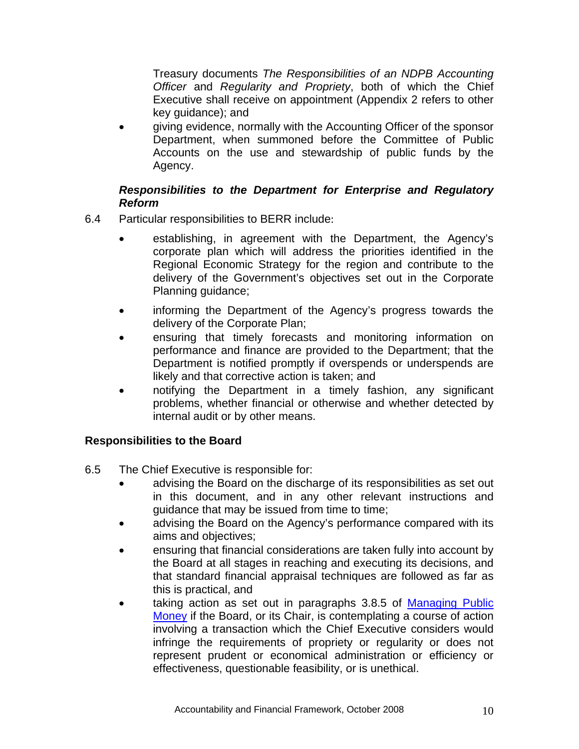<span id="page-10-0"></span>Treasury documents *The Responsibilities of an NDPB Accounting Officer* and *Regularity and Propriety*, both of which the Chief Executive shall receive on appointment (Appendix 2 refers to other key guidance); and

• giving evidence, normally with the Accounting Officer of the sponsor Department, when summoned before the Committee of Public Accounts on the use and stewardship of public funds by the Agency.

#### *Responsibilities to the Department for Enterprise and Regulatory Reform*

- 6.4 Particular responsibilities to BERR include:
	- establishing, in agreement with the Department, the Agency's corporate plan which will address the priorities identified in the Regional Economic Strategy for the region and contribute to the delivery of the Government's objectives set out in the Corporate Planning guidance;
	- informing the Department of the Agency's progress towards the delivery of the Corporate Plan;
	- ensuring that timely forecasts and monitoring information on performance and finance are provided to the Department; that the Department is notified promptly if overspends or underspends are likely and that corrective action is taken; and
	- notifying the Department in a timely fashion, any significant problems, whether financial or otherwise and whether detected by internal audit or by other means.

#### **Responsibilities to the Board**

- 6.5 The Chief Executive is responsible for:
	- advising the Board on the discharge of its responsibilities as set out in this document, and in any other relevant instructions and guidance that may be issued from time to time;
	- advising the Board on the Agency's performance compared with its aims and objectives;
	- ensuring that financial considerations are taken fully into account by the Board at all stages in reaching and executing its decisions, and that standard financial appraisal techniques are followed as far as this is practical, and
	- taking action as set out in paragraphs 3.8.5 of [Managing Public](http://documents.treasury.gov.uk/mpm/mpm_ch3.pdf) [Money](http://documents.treasury.gov.uk/mpm/mpm_ch3.pdf) if the Board, or its Chair, is contemplating a course of action involving a transaction which the Chief Executive considers would infringe the requirements of propriety or regularity or does not represent prudent or economical administration or efficiency or effectiveness, questionable feasibility, or is unethical.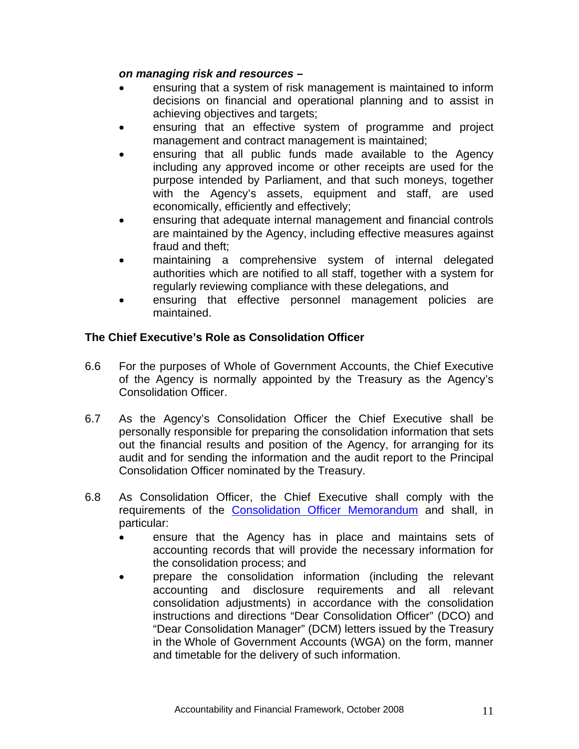#### <span id="page-11-0"></span>*on managing risk and resources –*

- ensuring that a system of risk management is maintained to inform decisions on financial and operational planning and to assist in achieving objectives and targets;
- ensuring that an effective system of programme and project management and contract management is maintained;
- ensuring that all public funds made available to the Agency including any approved income or other receipts are used for the purpose intended by Parliament, and that such moneys, together with the Agency's assets, equipment and staff, are used economically, efficiently and effectively;
- ensuring that adequate internal management and financial controls are maintained by the Agency, including effective measures against fraud and theft;
- maintaining a comprehensive system of internal delegated authorities which are notified to all staff, together with a system for regularly reviewing compliance with these delegations, and
- ensuring that effective personnel management policies are maintained.

#### **The Chief Executive's Role as Consolidation Officer**

- 6.6 For the purposes of Whole of Government Accounts, the Chief Executive of the Agency is normally appointed by the Treasury as the Agency's Consolidation Officer.
- 6.7 As the Agency's Consolidation Officer the Chief Executive shall be personally responsible for preparing the consolidation information that sets out the financial results and position of the Agency, for arranging for its audit and for sending the information and the audit report to the Principal Consolidation Officer nominated by the Treasury.
- 6.8 As Consolidation Officer, the Chief Executive shall comply with the requirements of the [Consolidation Officer Memorandum](http://www.wga.gov.uk/pages/guidance.html) and shall, in particular:
	- ensure that the Agency has in place and maintains sets of accounting records that will provide the necessary information for the consolidation process; and
	- prepare the consolidation information (including the relevant accounting and disclosure requirements and all relevant consolidation adjustments) in accordance with the consolidation instructions and directions "Dear Consolidation Officer" (DCO) and "Dear Consolidation Manager" (DCM) letters issued by the Treasury in the [Whole of Government Accounts \(WGA\)](http://www.wga.gov.uk/) on the form, manner and timetable for the delivery of such information.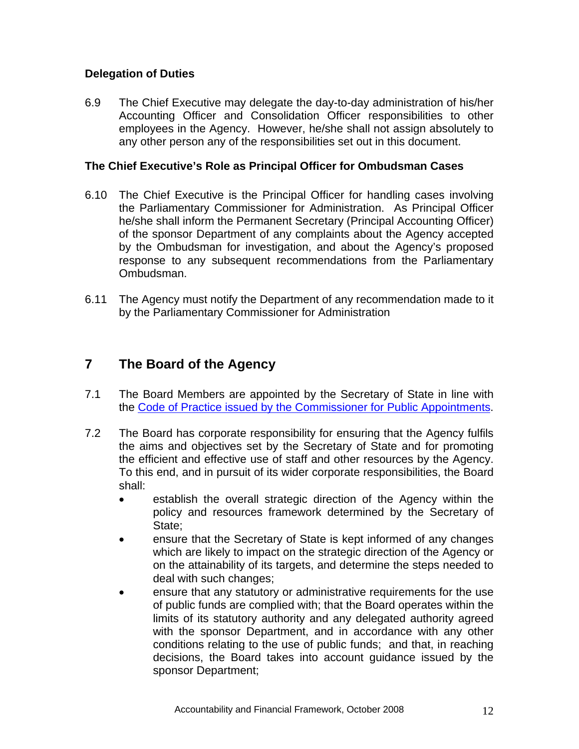#### <span id="page-12-0"></span>**Delegation of Duties**

6.9 The Chief Executive may delegate the day-to-day administration of his/her Accounting Officer and Consolidation Officer responsibilities to other employees in the Agency. However, he/she shall not assign absolutely to any other person any of the responsibilities set out in this document.

#### **The Chief Executive's Role as Principal Officer for Ombudsman Cases**

- 6.10 The Chief Executive is the Principal Officer for handling cases involving the Parliamentary Commissioner for Administration. As Principal Officer he/she shall inform the Permanent Secretary (Principal Accounting Officer) of the sponsor Department of any complaints about the Agency accepted by the Ombudsman for investigation, and about the Agency's proposed response to any subsequent recommendations from the Parliamentary Ombudsman.
- 6.11 The Agency must notify the Department of any recommendation made to it by the Parliamentary Commissioner for Administration

## **7 The Board of the Agency**

- 7.1 The Board Members are appointed by the Secretary of State in line with the [Code of Practice issued by the Commissioner for Public Appointments.](http://www.ocpa.gov.uk/the_code_of_practice.aspx)
- 7.2 The Board has corporate responsibility for ensuring that the Agency fulfils the aims and objectives set by the Secretary of State and for promoting the efficient and effective use of staff and other resources by the Agency. To this end, and in pursuit of its wider corporate responsibilities, the Board shall:
	- establish the overall strategic direction of the Agency within the policy and resources framework determined by the Secretary of State;
	- ensure that the Secretary of State is kept informed of any changes which are likely to impact on the strategic direction of the Agency or on the attainability of its targets, and determine the steps needed to deal with such changes;
	- ensure that any statutory or administrative requirements for the use of public funds are complied with; that the Board operates within the limits of its statutory authority and any delegated authority agreed with the sponsor Department, and in accordance with any other conditions relating to the use of public funds; and that, in reaching decisions, the Board takes into account guidance issued by the sponsor Department;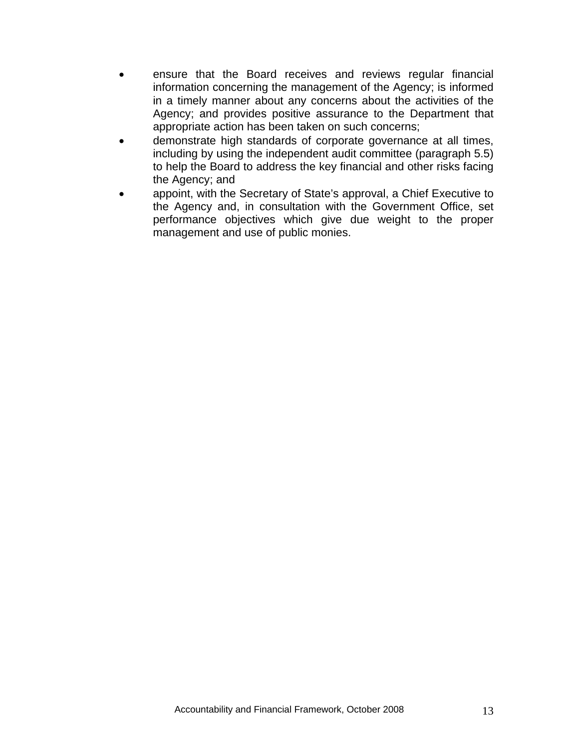- ensure that the Board receives and reviews regular financial information concerning the management of the Agency; is informed in a timely manner about any concerns about the activities of the Agency; and provides positive assurance to the Department that appropriate action has been taken on such concerns;
- demonstrate high standards of corporate governance at all times, including by using the independent audit committee (paragraph 5.5) to help the Board to address the key financial and other risks facing the Agency; and
- appoint, with the Secretary of State's approval, a Chief Executive to the Agency and, in consultation with the Government Office, set performance objectives which give due weight to the proper management and use of public monies.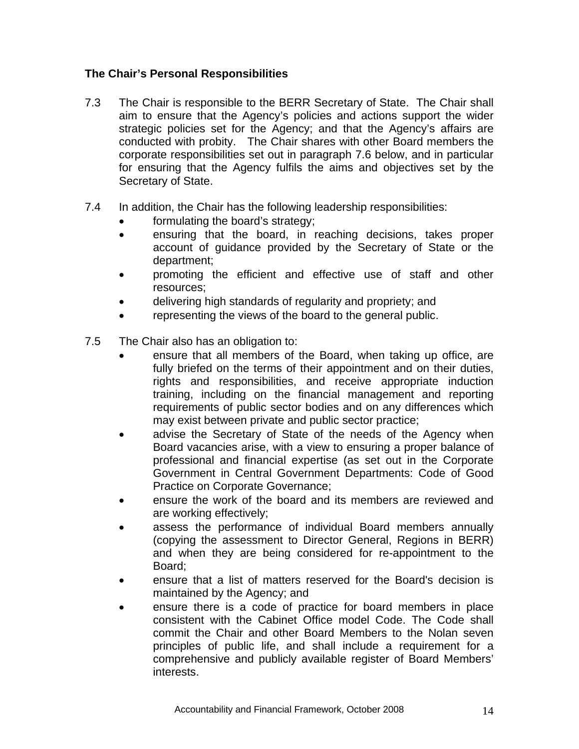#### <span id="page-14-0"></span>**The Chair's Personal Responsibilities**

- 7.3 The Chair is responsible to the BERR Secretary of State. The Chair shall aim to ensure that the Agency's policies and actions support the wider strategic policies set for the Agency; and that the Agency's affairs are conducted with probity. The Chair shares with other Board members the corporate responsibilities set out in paragraph 7.6 below, and in particular for ensuring that the Agency fulfils the aims and objectives set by the Secretary of State.
- 7.4 In addition, the Chair has the following leadership responsibilities:
	- formulating the board's strategy;
	- ensuring that the board, in reaching decisions, takes proper account of guidance provided by the Secretary of State or the department;
	- promoting the efficient and effective use of staff and other resources;
	- delivering high standards of regularity and propriety; and
	- representing the views of the board to the general public.
- 7.5 The Chair also has an obligation to:
	- ensure that all members of the Board, when taking up office, are fully briefed on the terms of their appointment and on their duties, rights and responsibilities, and receive appropriate induction training, including on the financial management and reporting requirements of public sector bodies and on any differences which may exist between private and public sector practice;
	- advise the Secretary of State of the needs of the Agency when Board vacancies arise, with a view to ensuring a proper balance of professional and financial expertise (as set out in the Corporate Government in [Central Government Departments: Code of Good](http://www.hm-treasury.gov.uk./media/7/5/corpgovernancecode280705.pdf)  [Practice on Corporate Governance](http://www.hm-treasury.gov.uk./media/7/5/corpgovernancecode280705.pdf);
	- ensure the work of the board and its members are reviewed and are working effectively;
	- assess the performance of individual Board members annually (copying the assessment to Director General, Regions in BERR) and when they are being considered for re-appointment to the Board;
	- ensure that a list of matters reserved for the Board's decision is maintained by the Agency; and
	- ensure there is a code of practice for board members in place consistent with the Cabinet Office model Code. The Code shall commit the Chair and other Board Members to the Nolan seven principles of public life, and shall include a requirement for a comprehensive and publicly available register of Board Members' interests.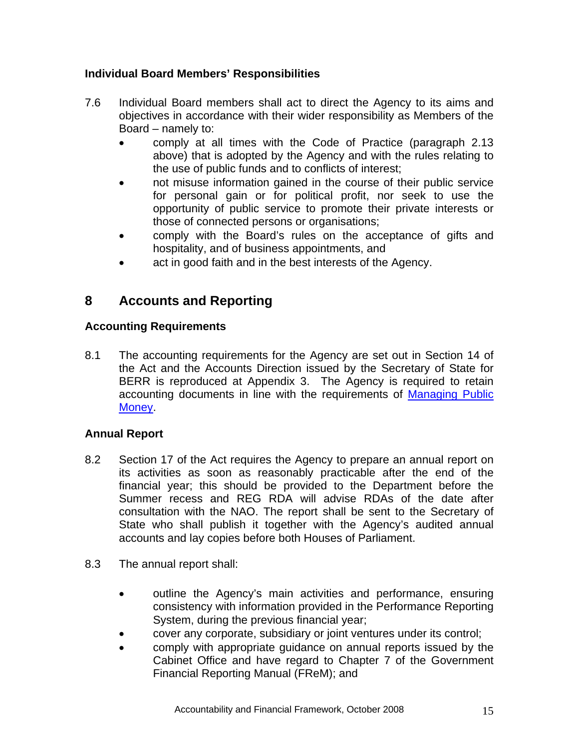#### <span id="page-15-0"></span>**Individual Board Members' Responsibilities**

- 7.6 Individual Board members shall act to direct the Agency to its aims and objectives in accordance with their wider responsibility as Members of the Board – namely to:
	- comply at all times with the Code of Practice (paragraph 2.13 above) that is adopted by the Agency and with the rules relating to the use of public funds and to conflicts of interest;
	- not misuse information gained in the course of their public service for personal gain or for political profit, nor seek to use the opportunity of public service to promote their private interests or those of connected persons or organisations;
	- comply with the Board's rules on the acceptance of gifts and hospitality, and of business appointments, and
	- act in good faith and in the best interests of the Agency.

## **8 Accounts and Reporting**

#### **Accounting Requirements**

8.1 The accounting requirements for the Agency are set out in Section 14 of the Act and the Accounts Direction issued by the Secretary of State for BERR is reproduced at Appendix 3. The Agency is required to retain accounting documents in line with the requirements of [Managing Public](http://www.hm-treasury.gov.uk/documents/public_spending_reporting/governance_risk/psr_managingpublicmoney_publication.cfm)  [Money.](http://www.hm-treasury.gov.uk/documents/public_spending_reporting/governance_risk/psr_managingpublicmoney_publication.cfm)

#### **Annual Report**

- 8.2 Section 17 of the Act requires the Agency to prepare an annual report on its activities as soon as reasonably practicable after the end of the financial year; this should be provided to the Department before the Summer recess and REG RDA will advise RDAs of the date after consultation with the NAO. The report shall be sent to the Secretary of State who shall publish it together with the Agency's audited annual accounts and lay copies before both Houses of Parliament.
- 8.3 The annual report shall:
	- outline the Agency's main activities and performance, ensuring consistency with information provided in the Performance Reporting System, during the previous financial year;
	- cover any corporate, subsidiary or joint ventures under its control;
	- comply with appropriate guidance on annual reports issued by the Cabinet Office and have regard to Chapter 7 of the Government Financial Reporting Manual [\(FReM\)](http://www.financial-reporting.gov.uk/2007-08%20FREM%20-%20FULL%20VERSION.pdf); and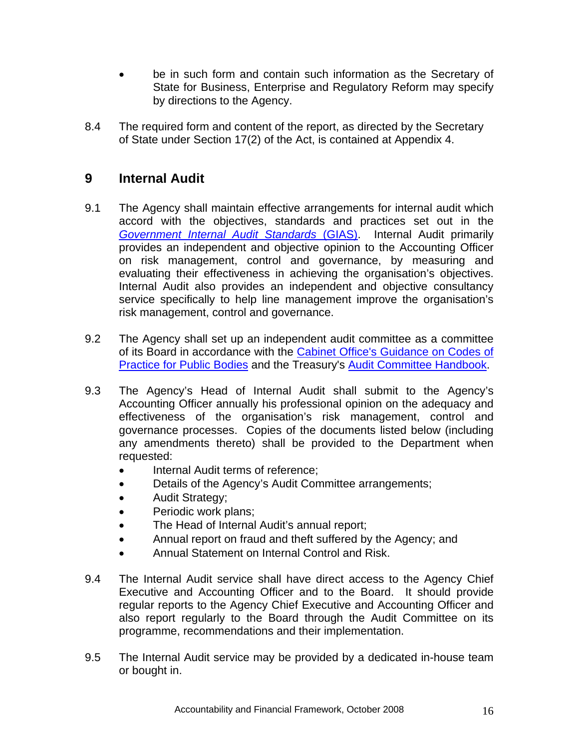- <span id="page-16-0"></span>be in such form and contain such information as the Secretary of State for Business, Enterprise and Regulatory Reform may specify by directions to the Agency.
- 8.4 The required form and content of the report, as directed by the Secretary of State under Section 17(2) of the Act, is contained at Appendix 4.

## **9 Internal Audit**

- 9.1 The Agency shall maintain effective arrangements for internal audit which accord with the objectives, standards and practices set out in the *[Government Internal Audit Standards](http://www.hm-treasury.gov.uk./media/6/6/GIAS_2001(272Kb).pdf)* (GIAS). Internal Audit primarily provides an independent and objective opinion to the Accounting Officer on risk management, control and governance, by measuring and evaluating their effectiveness in achieving the organisation's objectives. Internal Audit also provides an independent and objective consultancy service specifically to help line management improve the organisation's risk management, control and governance.
- 9.2 The Agency shall set up an independent audit committee as a committee of its Board in accordance with the [Cabinet Office's Guidance on Codes of](http://www.archive.official-documents.co.uk/document/caboff/guide/forword.htm)  [Practice for Public Bodies](http://www.archive.official-documents.co.uk/document/caboff/guide/forword.htm) and the Treasury's [Audit Committee Handbook.](http://www.hm-treasury.gov.uk/media/8/3/auditcommitteehandbook140307.pdf)
- 9.3 The Agency's Head of Internal Audit shall submit to the Agency's Accounting Officer annually his professional opinion on the adequacy and effectiveness of the organisation's risk management, control and governance processes. Copies of the documents listed below (including any amendments thereto) shall be provided to the Department when requested:
	- Internal Audit terms of reference;
	- Details of the Agency's Audit Committee arrangements;
	- Audit Strategy;
	- Periodic work plans;
	- The Head of Internal Audit's annual report;
	- Annual report on fraud and theft suffered by the Agency; and
	- Annual Statement on Internal Control and Risk.
- 9.4 The Internal Audit service shall have direct access to the Agency Chief Executive and Accounting Officer and to the Board. It should provide regular reports to the Agency Chief Executive and Accounting Officer and also report regularly to the Board through the Audit Committee on its programme, recommendations and their implementation.
- 9.5 The Internal Audit service may be provided by a dedicated in-house team or bought in.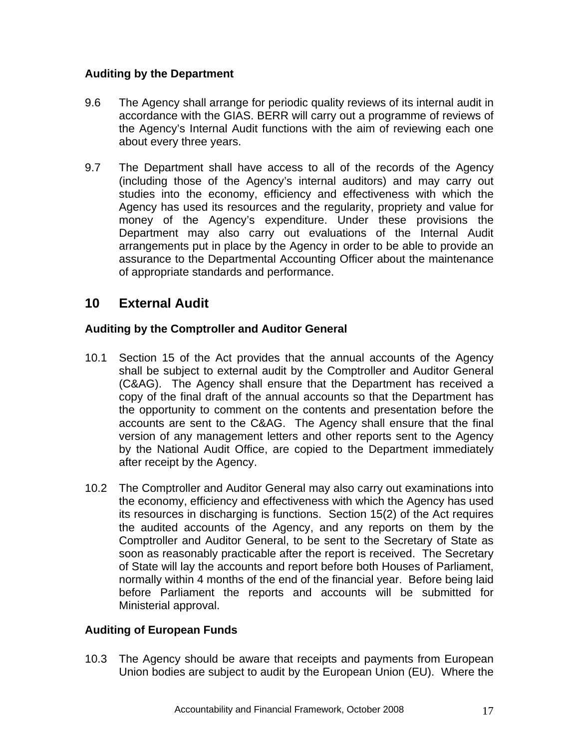#### <span id="page-17-0"></span>**Auditing by the Department**

- 9.6 The Agency shall arrange for periodic quality reviews of its internal audit in accordance with the GIAS. BERR will carry out a programme of reviews of the Agency's Internal Audit functions with the aim of reviewing each one about every three years.
- 9.7 The Department shall have access to all of the records of the Agency (including those of the Agency's internal auditors) and may carry out studies into the economy, efficiency and effectiveness with which the Agency has used its resources and the regularity, propriety and value for money of the Agency's expenditure. Under these provisions the Department may also carry out evaluations of the Internal Audit arrangements put in place by the Agency in order to be able to provide an assurance to the Departmental Accounting Officer about the maintenance of appropriate standards and performance.

## **10 External Audit**

#### **Auditing by the Comptroller and Auditor General**

- 10.1 Section 15 of the Act provides that the annual accounts of the Agency shall be subject to external audit by the Comptroller and Auditor General (C&AG). The Agency shall ensure that the Department has received a copy of the final draft of the annual accounts so that the Department has the opportunity to comment on the contents and presentation before the accounts are sent to the C&AG. The Agency shall ensure that the final version of any management letters and other reports sent to the Agency by the National Audit Office, are copied to the Department immediately after receipt by the Agency.
- 10.2 The Comptroller and Auditor General may also carry out examinations into the economy, efficiency and effectiveness with which the Agency has used its resources in discharging is functions. Section 15(2) of the Act requires the audited accounts of the Agency, and any reports on them by the Comptroller and Auditor General, to be sent to the Secretary of State as soon as reasonably practicable after the report is received. The Secretary of State will lay the accounts and report before both Houses of Parliament, normally within 4 months of the end of the financial year. Before being laid before Parliament the reports and accounts will be submitted for Ministerial approval.

#### **Auditing of European Funds**

10.3 The Agency should be aware that receipts and payments from European Union bodies are subject to audit by the European Union (EU). Where the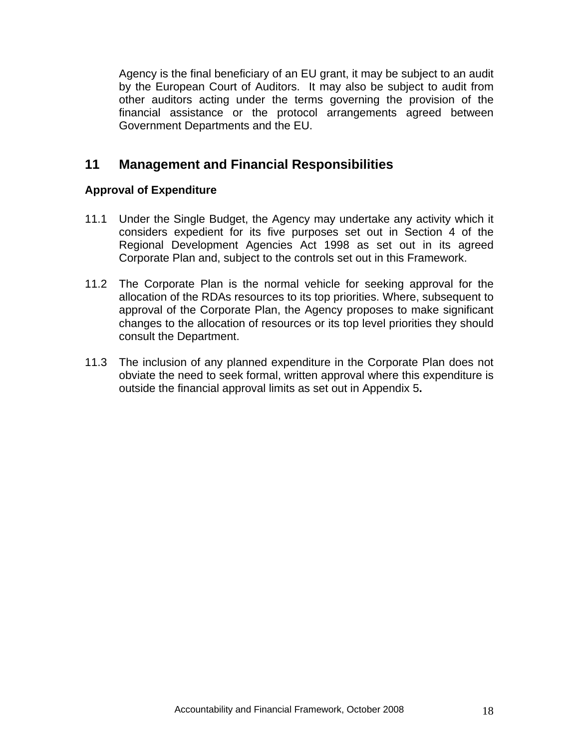<span id="page-18-0"></span>Agency is the final beneficiary of an EU grant, it may be subject to an audit by the European Court of Auditors. It may also be subject to audit from other auditors acting under the terms governing the provision of the financial assistance or the protocol arrangements agreed between Government Departments and the EU.

## **11 Management and Financial Responsibilities**

#### **Approval of Expenditure**

- 11.1 Under the Single Budget, the Agency may undertake any activity which it considers expedient for its five purposes set out in Section 4 of the Regional Development Agencies Act 1998 as set out in its agreed Corporate Plan and, subject to the controls set out in this Framework.
- 11.2 The Corporate Plan is the normal vehicle for seeking approval for the allocation of the RDAs resources to its top priorities. Where, subsequent to approval of the Corporate Plan, the Agency proposes to make significant changes to the allocation of resources or its top level priorities they should consult the Department.
- 11.3 The inclusion of any planned expenditure in the Corporate Plan does not obviate the need to seek formal, written approval where this expenditure is outside the financial approval limits as set out in Appendix 5**.**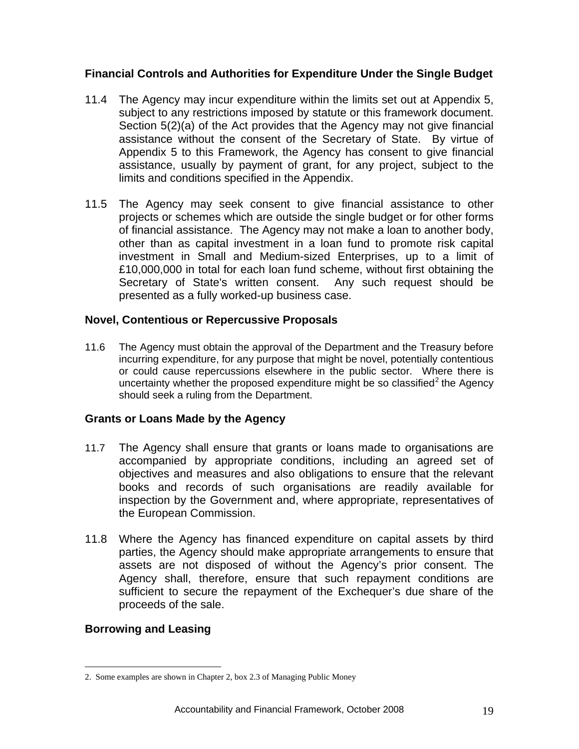#### <span id="page-19-0"></span>**Financial Controls and Authorities for Expenditure Under the Single Budget**

- 11.4 The Agency may incur expenditure within the limits set out at Appendix 5, subject to any restrictions imposed by statute or this framework document. Section 5(2)(a) of the Act provides that the Agency may not give financial assistance without the consent of the Secretary of State. By virtue of Appendix 5 to this Framework, the Agency has consent to give financial assistance, usually by payment of grant, for any project, subject to the limits and conditions specified in the Appendix.
- 11.5 The Agency may seek consent to give financial assistance to other projects or schemes which are outside the single budget or for other forms of financial assistance.The Agency may not make a loan to another body, other than as capital investment in a loan fund to promote risk capital investment in Small and Medium-sized Enterprises, up to a limit of £10,000,000 in total for each loan fund scheme, without first obtaining the Secretary of State's written consent. Any such request should be presented as a fully worked-up business case.

#### **Novel, Contentious or Repercussive Proposals**

11.6 The Agency must obtain the approval of the Department and the Treasury before incurring expenditure, for any purpose that might be novel, potentially contentious or could cause repercussions elsewhere in the public sector. Where there is uncertainty whether the proposed expenditure might be so classified $<sup>2</sup>$  $<sup>2</sup>$  $<sup>2</sup>$  the Agency</sup> should seek a ruling from the Department.

#### **Grants or Loans Made by the Agency**

- 11.7 The Agency shall ensure that grants or loans made to organisations are accompanied by appropriate conditions, including an agreed set of objectives and measures and also obligations to ensure that the relevant books and records of such organisations are readily available for inspection by the Government and, where appropriate, representatives of the European Commission.
- 11.8 Where the Agency has financed expenditure on capital assets by third parties, the Agency should make appropriate arrangements to ensure that assets are not disposed of without the Agency's prior consent. The Agency shall, therefore, ensure that such repayment conditions are sufficient to secure the repayment of the Exchequer's due share of the proceeds of the sale.

#### **Borrowing and Leasing**

 $\overline{a}$ 

<span id="page-19-1"></span><sup>2.</sup> Some examples are shown in Chapter 2, box 2.3 of Managing Public Money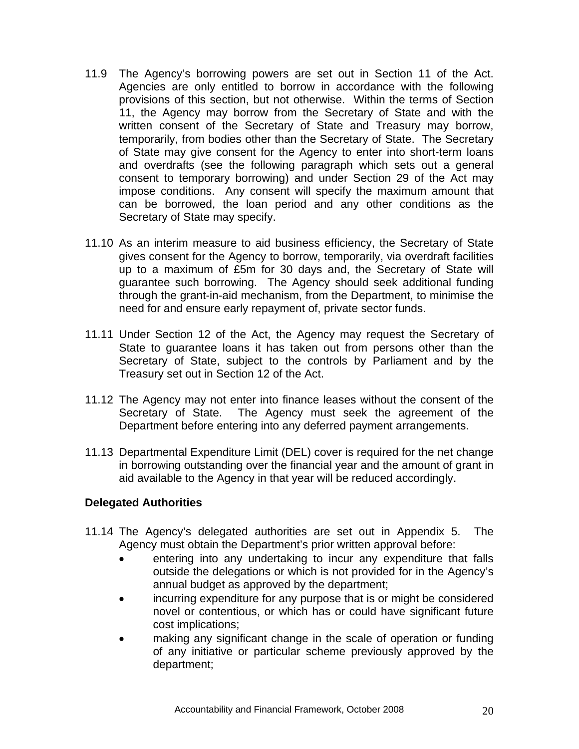- <span id="page-20-0"></span>11.9 The Agency's borrowing powers are set out in Section 11 of the Act. Agencies are only entitled to borrow in accordance with the following provisions of this section, but not otherwise. Within the terms of Section 11, the Agency may borrow from the Secretary of State and with the written consent of the Secretary of State and Treasury may borrow, temporarily, from bodies other than the Secretary of State. The Secretary of State may give consent for the Agency to enter into short-term loans and overdrafts (see the following paragraph which sets out a general consent to temporary borrowing) and under Section 29 of the Act may impose conditions. Any consent will specify the maximum amount that can be borrowed, the loan period and any other conditions as the Secretary of State may specify.
- 11.10 As an interim measure to aid business efficiency, the Secretary of State gives consent for the Agency to borrow, temporarily, via overdraft facilities up to a maximum of £5m for 30 days and, the Secretary of State will guarantee such borrowing. The Agency should seek additional funding through the grant-in-aid mechanism, from the Department, to minimise the need for and ensure early repayment of, private sector funds.
- 11.11 Under Section 12 of the Act, the Agency may request the Secretary of State to guarantee loans it has taken out from persons other than the Secretary of State, subject to the controls by Parliament and by the Treasury set out in Section 12 of the Act.
- 11.12 The Agency may not enter into finance leases without the consent of the Secretary of State. The Agency must seek the agreement of the Department before entering into any deferred payment arrangements.
- 11.13 Departmental Expenditure Limit (DEL) cover is required for the net change in borrowing outstanding over the financial year and the amount of grant in aid available to the Agency in that year will be reduced accordingly.

#### **Delegated Authorities**

- 11.14 The Agency's delegated authorities are set out in Appendix 5. The Agency must obtain the Department's prior written approval before:
	- entering into any undertaking to incur any expenditure that falls outside the delegations or which is not provided for in the Agency's annual budget as approved by the department;
	- incurring expenditure for any purpose that is or might be considered novel or contentious, or which has or could have significant future cost implications;
	- making any significant change in the scale of operation or funding of any initiative or particular scheme previously approved by the department;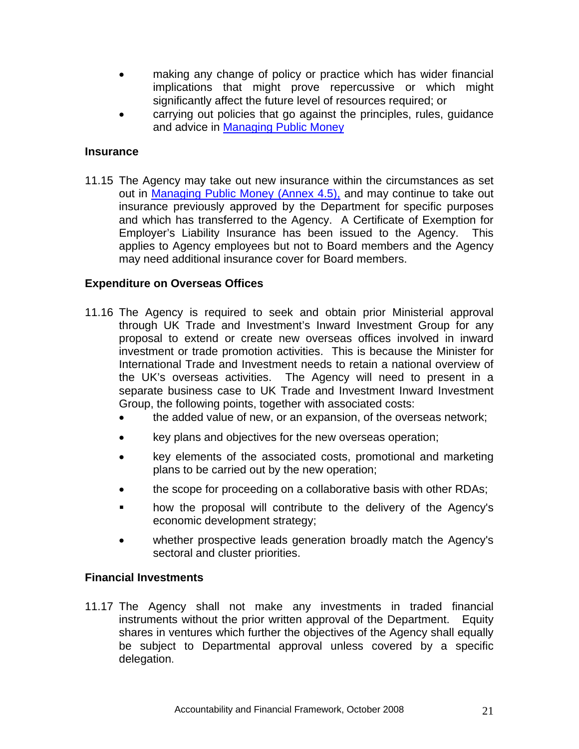- <span id="page-21-0"></span>• making any change of policy or practice which has wider financial implications that might prove repercussive or which might significantly affect the future level of resources required; or
- carrying out policies that go against the principles, rules, guidance and advice in [Managing Public Money](http://www.hm-treasury.gov.uk/documents/public_spending_reporting/governance_risk/psr_managingpublicmoney_index.cfm)

#### **Insurance**

11.15 The Agency may take out new insurance within the circumstances as set out in Managing [Public Money \(Annex 4.5\),](http://documents.treasury.gov.uk/mpm/mpm_annex4.5.pdf) and may continue to take out insurance previously approved by the Department for specific purposes and which has transferred to the Agency. A Certificate of Exemption for Employer's Liability Insurance has been issued to the Agency. This applies to Agency employees but not to Board members and the Agency may need additional insurance cover for Board members.

#### **Expenditure on Overseas Offices**

- 11.16 The Agency is required to seek and obtain prior Ministerial approval through UK Trade and Investment's Inward Investment Group for any proposal to extend or create new overseas offices involved in inward investment or trade promotion activities. This is because the Minister for International Trade and Investment needs to retain a national overview of the UK's overseas activities. The Agency will need to present in a separate business case to UK Trade and Investment Inward Investment Group, the following points, together with associated costs:
	- the added value of new, or an expansion, of the overseas network;
	- key plans and objectives for the new overseas operation;
	- key elements of the associated costs, promotional and marketing plans to be carried out by the new operation;
	- the scope for proceeding on a collaborative basis with other RDAs;
	- how the proposal will contribute to the delivery of the Agency's economic development strategy;
	- whether prospective leads generation broadly match the Agency's sectoral and cluster priorities.

#### **Financial Investments**

11.17 The Agency shall not make any investments in traded financial instruments without the prior written approval of the Department. Equity shares in ventures which further the objectives of the Agency shall equally be subject to Departmental approval unless covered by a specific delegation.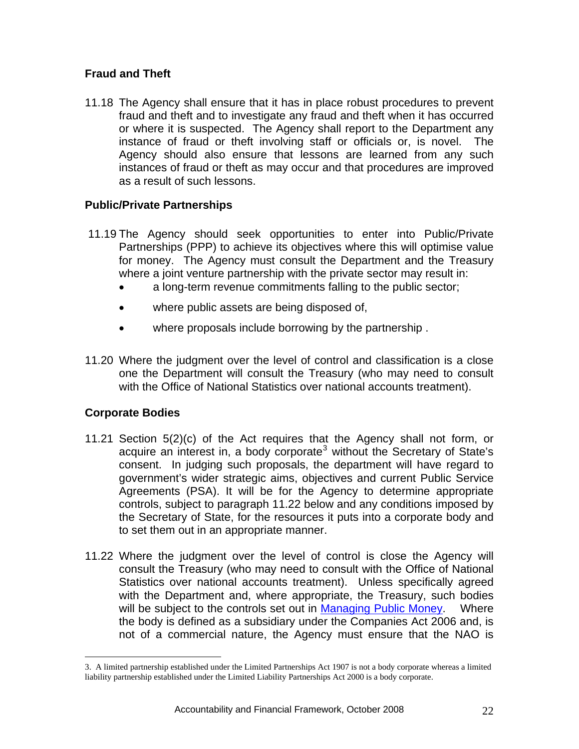#### <span id="page-22-0"></span>**Fraud and Theft**

11.18 The Agency shall ensure that it has in place robust procedures to prevent fraud and theft and to investigate any fraud and theft when it has occurred or where it is suspected. The Agency shall report to the Department any instance of fraud or theft involving staff or officials or, is novel. The Agency should also ensure that lessons are learned from any such instances of fraud or theft as may occur and that procedures are improved as a result of such lessons.

#### **Public/Private Partnerships**

- 11.19 The Agency should seek opportunities to enter into Public/Private Partnerships (PPP) to achieve its objectives where this will optimise value for money. The Agency must consult the Department and the Treasury where a joint venture partnership with the private sector may result in:
	- a long-term revenue commitments falling to the public sector;
	- where public assets are being disposed of,
	- where proposals include borrowing by the partnership .
- 11.20 Where the judgment over the level of control and classification is a close one the Department will consult the Treasury (who may need to consult with the Office of National Statistics over national accounts treatment).

#### **Corporate Bodies**

 $\overline{a}$ 

- 11.21 Section 5(2)(c) of the Act requires that the Agency shall not form, or acquire an interest in, a body corporate<sup>[3](#page-22-1)</sup> without the Secretary of State's consent. In judging such proposals, the department will have regard to government's wider strategic aims, objectives and current Public Service Agreements (PSA). It will be for the Agency to determine appropriate controls, subject to paragraph 11.22 below and any conditions imposed by the Secretary of State, for the resources it puts into a corporate body and to set them out in an appropriate manner.
- 11.22 Where the judgment over the level of control is close the Agency will consult the Treasury (who may need to consult with the Office of National Statistics over national accounts treatment). Unless specifically agreed with the Department and, where appropriate, the Treasury, such bodies will be subject to the controls set out in [Managing Public Money](http://documents.treasury.gov.uk/mpm/mpm_ch7.pdf). Where the body is defined as a subsidiary under the Companies Act 2006 and, is not of a commercial nature, the Agency must ensure that the NAO is

<span id="page-22-1"></span><sup>3.</sup> A limited partnership established under the Limited Partnerships Act 1907 is not a body corporate whereas a limited liability partnership established under the Limited Liability Partnerships Act 2000 is a body corporate.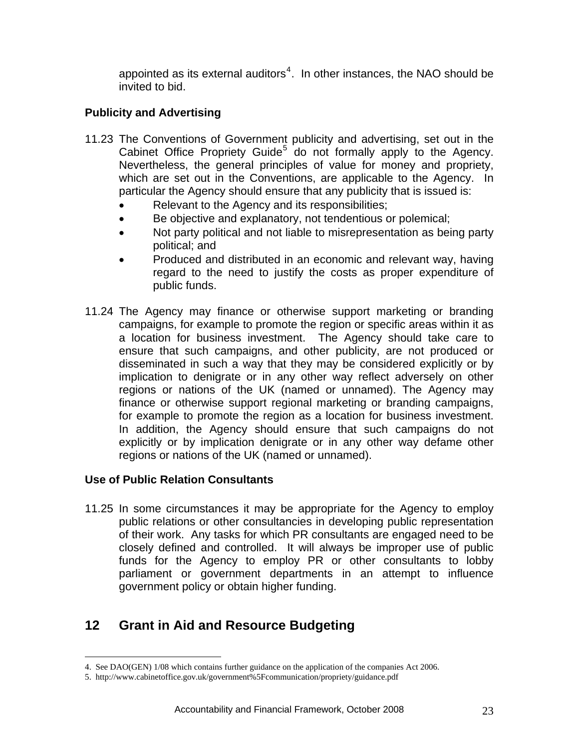<span id="page-23-0"></span>appointed as its external auditors $4$ . In other instances, the NAO should be invited to bid.

#### **Publicity and Advertising**

- 11.23 The Conventions of Government publicity and advertising, set out in the Cabinet Office Propriety Guide<sup>[5](#page-23-2)</sup> do not formally apply to the Agency. Nevertheless, the general principles of value for money and propriety, which are set out in the Conventions, are applicable to the Agency. In particular the Agency should ensure that any publicity that is issued is:
	- Relevant to the Agency and its responsibilities;
	- Be objective and explanatory, not tendentious or polemical;
	- Not party political and not liable to misrepresentation as being party political; and
	- Produced and distributed in an economic and relevant way, having regard to the need to justify the costs as proper expenditure of public funds.
- 11.24 The Agency may finance or otherwise support marketing or branding campaigns, for example to promote the region or specific areas within it as a location for business investment. The Agency should take care to ensure that such campaigns, and other publicity, are not produced or disseminated in such a way that they may be considered explicitly or by implication to denigrate or in any other way reflect adversely on other regions or nations of the UK (named or unnamed). The Agency may finance or otherwise support regional marketing or branding campaigns, for example to promote the region as a location for business investment. In addition, the Agency should ensure that such campaigns do not explicitly or by implication denigrate or in any other way defame other regions or nations of the UK (named or unnamed).

#### **Use of Public Relation Consultants**

11.25 In some circumstances it may be appropriate for the Agency to employ public relations or other consultancies in developing public representation of their work. Any tasks for which PR consultants are engaged need to be closely defined and controlled. It will always be improper use of public funds for the Agency to employ PR or other consultants to lobby parliament or government departments in an attempt to influence government policy or obtain higher funding.

## **12 Grant in Aid and Resource Budgeting**

 $\overline{a}$ 4. See DAO(GEN) 1/08 which contains further guidance on the application of the companies Act 2006.

<span id="page-23-2"></span><span id="page-23-1"></span><sup>5.</sup> http://www.cabinetoffice.gov.uk/government%5Fcommunication/propriety/guidance.pdf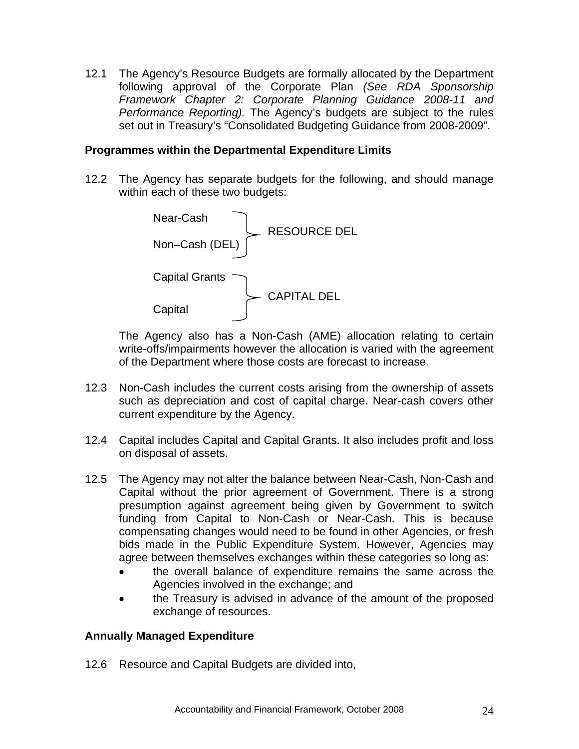<span id="page-24-0"></span>12.1 The Agency's Resource Budgets are formally allocated by the Department following approval of the Corporate Plan *(See RDA Sponsorship Framework Chapter 2: Corporate Planning Guidance 2008-11 and Performance Reporting).* The Agency's budgets are subject to the rules set out in Treasury's "Consolidated Budgeting Guidance from 2008-2009".

#### **Programmes within the Departmental Expenditure Limits**

12.2 The Agency has separate budgets for the following, and should manage within each of these two budgets:



The Agency also has a Non-Cash (AME) allocation relating to certain write-offs/impairments however the allocation is varied with the agreement of the Department where those costs are forecast to increase.

- 12.3 Non-Cash includes the current costs arising from the ownership of assets such as depreciation and cost of capital charge. Near-cash covers other current expenditure by the Agency.
- 12.4 Capital includes Capital and Capital Grants. It also includes profit and loss on disposal of assets.
- 12.5 The Agency may not alter the balance between Near-Cash, Non-Cash and Capital without the prior agreement of Government. There is a strong presumption against agreement being given by Government to switch funding from Capital to Non-Cash or Near-Cash. This is because compensating changes would need to be found in other Agencies, or fresh bids made in the Public Expenditure System. However, Agencies may agree between themselves exchanges within these categories so long as:
	- the overall balance of expenditure remains the same across the Agencies involved in the exchange; and
	- the Treasury is advised in advance of the amount of the proposed exchange of resources.

#### **Annually Managed Expenditure**

12.6 Resource and Capital Budgets are divided into,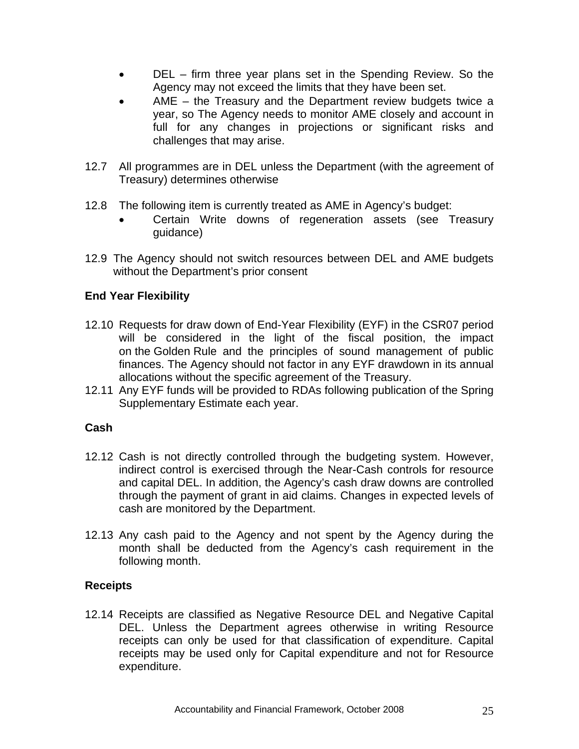- <span id="page-25-0"></span>DEL – firm three year plans set in the Spending Review. So the Agency may not exceed the limits that they have been set.
- AME the Treasury and the Department review budgets twice a year, so The Agency needs to monitor AME closely and account in full for any changes in projections or significant risks and challenges that may arise.
- 12.7 All programmes are in DEL unless the Department (with the agreement of Treasury) determines otherwise
- 12.8 The following item is currently treated as AME in Agency's budget:
	- Certain Write downs of regeneration assets (see Treasury guidance)
- 12.9 The Agency should not switch resources between DEL and AME budgets without the Department's prior consent

#### **End Year Flexibility**

- 12.10 Requests for draw down of End-Year Flexibility (EYF) in the CSR07 period will be considered in the light of the fiscal position, the impact on the Golden Rule and the principles of sound management of public finances. The Agency should not factor in any EYF drawdown in its annual allocations without the specific agreement of the Treasury.
- 12.11 Any EYF funds will be provided to RDAs following publication of the Spring Supplementary Estimate each year.

#### **Cash**

- 12.12 Cash is not directly controlled through the budgeting system. However, indirect control is exercised through the Near-Cash controls for resource and capital DEL. In addition, the Agency's cash draw downs are controlled through the payment of grant in aid claims. Changes in expected levels of cash are monitored by the Department.
- 12.13 Any cash paid to the Agency and not spent by the Agency during the month shall be deducted from the Agency's cash requirement in the following month.

#### **Receipts**

12.14 Receipts are classified as Negative Resource DEL and Negative Capital DEL. Unless the Department agrees otherwise in writing Resource receipts can only be used for that classification of expenditure. Capital receipts may be used only for Capital expenditure and not for Resource expenditure.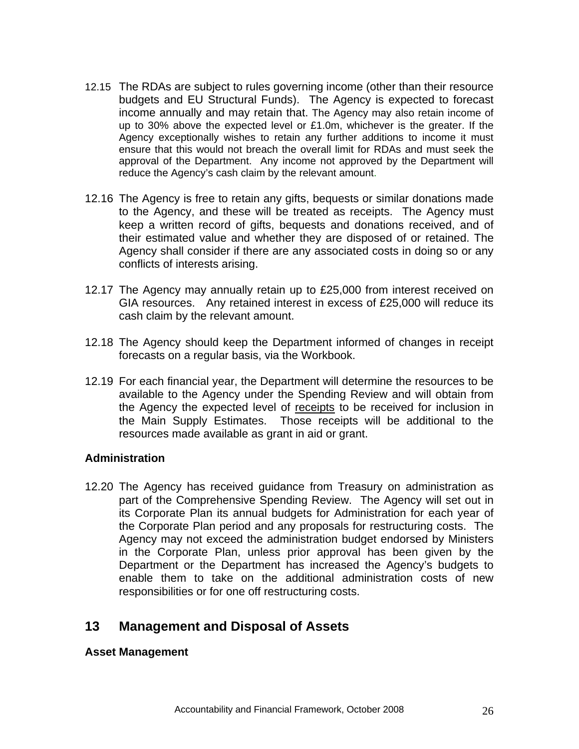- <span id="page-26-0"></span>12.15 The RDAs are subject to rules governing income (other than their resource budgets and EU Structural Funds). The Agency is expected to forecast income annually and may retain that. The Agency may also retain income of up to 30% above the expected level or £1.0m, whichever is the greater. If the Agency exceptionally wishes to retain any further additions to income it must ensure that this would not breach the overall limit for RDAs and must seek the approval of the Department. Any income not approved by the Department will reduce the Agency's cash claim by the relevant amount.
- 12.16The Agency is free to retain any gifts, bequests or similar donations made to the Agency, and these will be treated as receipts. The Agency must keep a written record of gifts, bequests and donations received, and of their estimated value and whether they are disposed of or retained. The Agency shall consider if there are any associated costs in doing so or any conflicts of interests arising.
- 12.17 The Agency may annually retain up to £25,000 from interest received on GIA resources. Any retained interest in excess of £25,000 will reduce its cash claim by the relevant amount.
- 12.18 The Agency should keep the Department informed of changes in receipt forecasts on a regular basis, via the Workbook.
- 12.19 For each financial year, the Department will determine the resources to be available to the Agency under the Spending Review and will obtain from the Agency the expected level of receipts to be received for inclusion in the Main Supply Estimates. Those receipts will be additional to the resources made available as grant in aid or grant.

#### **Administration**

12.20 The Agency has received guidance from Treasury on administration as part of the Comprehensive Spending Review. The Agency will set out in its Corporate Plan its annual budgets for Administration for each year of the Corporate Plan period and any proposals for restructuring costs. The Agency may not exceed the administration budget endorsed by Ministers in the Corporate Plan, unless prior approval has been given by the Department or the Department has increased the Agency's budgets to enable them to take on the additional administration costs of new responsibilities or for one off restructuring costs.

## **13 Management and Disposal of Assets**

#### **Asset Management**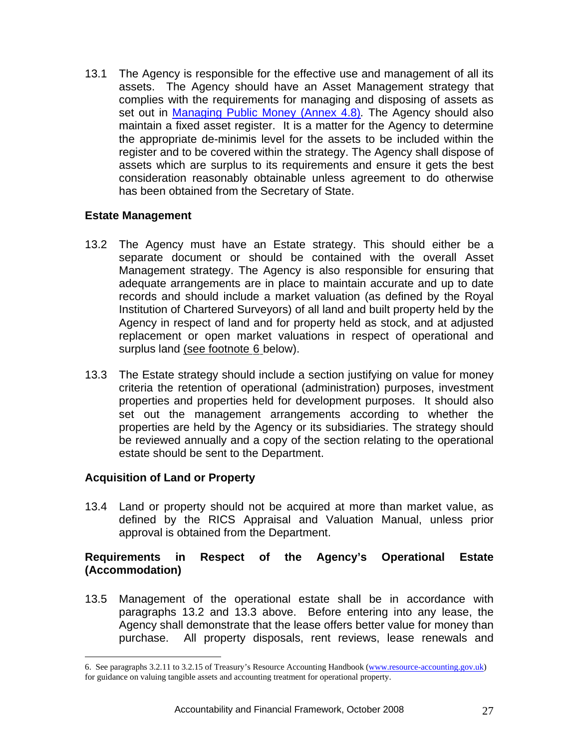<span id="page-27-0"></span>13.1 The Agency is responsible for the effective use and management of all its assets. The Agency should have an Asset Management strategy that complies with the requirements for managing and disposing of assets as set out in [Managing Public Money \(Annex 4.8\)](http://documents.treasury.gov.uk/mpm/mpm_annex4.8.pdf)*.* The Agency should also maintain a fixed asset register. It is a matter for the Agency to determine the appropriate de-minimis level for the assets to be included within the register and to be covered within the strategy. The Agency shall dispose of assets which are surplus to its requirements and ensure it gets the best consideration reasonably obtainable unless agreement to do otherwise has been obtained from the Secretary of State.

#### **Estate Management**

- 13.2 The Agency must have an Estate strategy. This should either be a separate document or should be contained with the overall Asset Management strategy. The Agency is also responsible for ensuring that adequate arrangements are in place to maintain accurate and up to date records and should include a market valuation (as defined by the Royal Institution of Chartered Surveyors) of all land and built property held by the Agency in respect of land and for property held as stock, and at adjusted replacement or open market valuations in respect of operational and surplus land (see footnote [6](#page-27-1) below).
- 13.3 The Estate strategy should include a section justifying on value for money criteria the retention of operational (administration) purposes, investment properties and properties held for development purposes. It should also set out the management arrangements according to whether the properties are held by the Agency or its subsidiaries. The strategy should be reviewed annually and a copy of the section relating to the operational estate should be sent to the Department.

#### **Acquisition of Land or Property**

 $\overline{a}$ 

13.4 Land or property should not be acquired at more than market value, as defined by the RICS Appraisal and Valuation Manual, unless prior approval is obtained from the Department.

#### **Requirements in Respect of the Agency's Operational Estate (Accommodation)**

13.5 Management of the operational estate shall be in accordance with paragraphs 13.2 and 13.3 above. Before entering into any lease, the Agency shall demonstrate that the lease offers better value for money than purchase. All property disposals, rent reviews, lease renewals and

<span id="page-27-1"></span><sup>6.</sup> See paragraphs 3.2.11 to 3.2.15 of Treasury's Resource Accounting Handbook [\(www.resource-accounting.gov.uk\)](http://www.resource-accounting.gov.uk/) for guidance on valuing tangible assets and accounting treatment for operational property.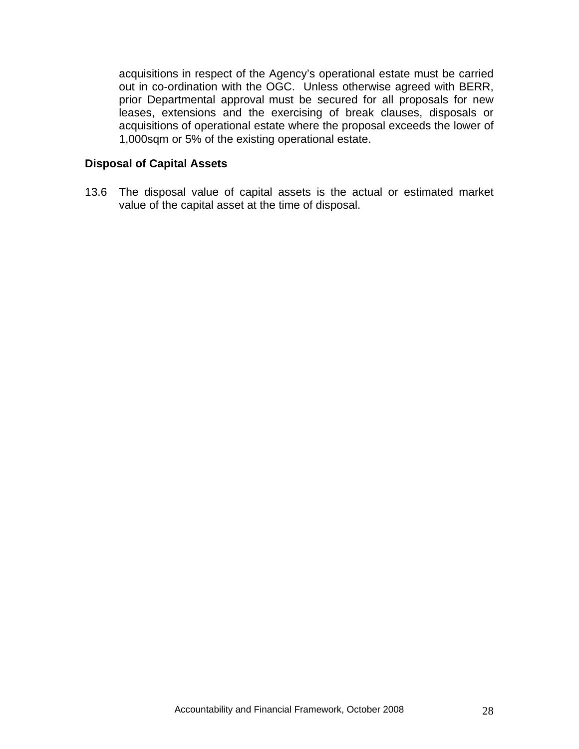<span id="page-28-0"></span>acquisitions in respect of the Agency's operational estate must be carried out in co-ordination with the OGC. Unless otherwise agreed with BERR, prior Departmental approval must be secured for all proposals for new leases, extensions and the exercising of break clauses, disposals or acquisitions of operational estate where the proposal exceeds the lower of 1,000sqm or 5% of the existing operational estate.

#### **Disposal of Capital Assets**

13.6 The disposal value of capital assets is the actual or estimated market value of the capital asset at the time of disposal.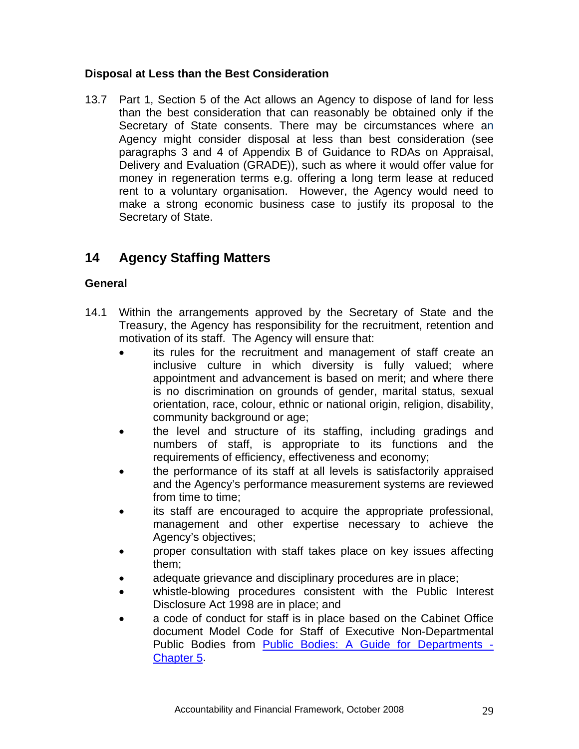#### <span id="page-29-0"></span>**Disposal at Less than the Best Consideration**

13.7 Part 1, Section 5 of the Act allows an Agency to dispose of land for less than the best consideration that can reasonably be obtained only if the Secretary of State consents. There may be circumstances where an Agency might consider disposal at less than best consideration (see paragraphs 3 and 4 of Appendix B of Guidance to RDAs on Appraisal, Delivery and Evaluation (GRADE)), such as where it would offer value for money in regeneration terms e.g. offering a long term lease at reduced rent to a voluntary organisation. However, the Agency would need to make a strong economic business case to justify its proposal to the Secretary of State.

## **14 Agency Staffing Matters**

#### **General**

- 14.1 Within the arrangements approved by the Secretary of State and the Treasury, the Agency has responsibility for the recruitment, retention and motivation of its staff. The Agency will ensure that:
	- its rules for the recruitment and management of staff create an inclusive culture in which diversity is fully valued; where appointment and advancement is based on merit; and where there is no discrimination on grounds of gender, marital status, sexual orientation, race, colour, ethnic or national origin, religion, disability, community background or age;
	- the level and structure of its staffing, including gradings and numbers of staff, is appropriate to its functions and the requirements of efficiency, effectiveness and economy;
	- the performance of its staff at all levels is satisfactorily appraised and the Agency's performance measurement systems are reviewed from time to time;
	- its staff are encouraged to acquire the appropriate professional, management and other expertise necessary to achieve the Agency's objectives;
	- proper consultation with staff takes place on key issues affecting them;
	- adequate grievance and disciplinary procedures are in place;
	- whistle-blowing procedures consistent with the Public Interest Disclosure Act 1998 are in place; and
	- a code of conduct for staff is in place based on the Cabinet Office document Model Code for Staff of Executive Non-Departmental Public Bodies from [Public Bodies: A Guide for Departments -](http://www.civilservice.gov.uk/documents/pdf/public_bodies/2006/5_public_body_staffv2.pdf) [Chapter 5.](http://www.civilservice.gov.uk/documents/pdf/public_bodies/2006/5_public_body_staffv2.pdf)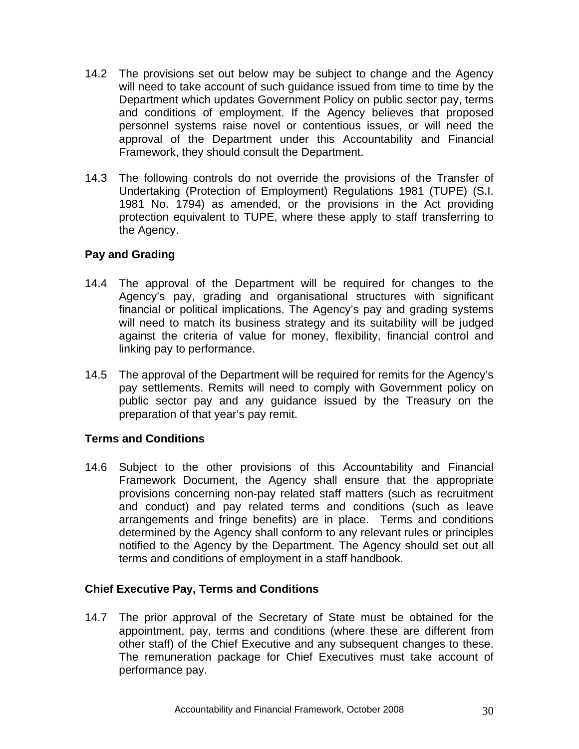- <span id="page-30-0"></span>14.2 The provisions set out below may be subject to change and the Agency will need to take account of such guidance issued from time to time by the Department which updates Government Policy on public sector pay, terms and conditions of employment. If the Agency believes that proposed personnel systems raise novel or contentious issues, or will need the approval of the Department under this Accountability and Financial Framework, they should consult the Department.
- 14.3 The following controls do not override the provisions of the Transfer of Undertaking (Protection of Employment) Regulations 1981 (TUPE) (S.I. 1981 No. 1794) as amended, or the provisions in the Act providing protection equivalent to TUPE, where these apply to staff transferring to the Agency.

#### **Pay and Grading**

- 14.4 The approval of the Department will be required for changes to the Agency's pay, grading and organisational structures with significant financial or political implications. The Agency's pay and grading systems will need to match its business strategy and its suitability will be judged against the criteria of value for money, flexibility, financial control and linking pay to performance.
- 14.5 The approval of the Department will be required for remits for the Agency's pay settlements. Remits will need to comply with Government policy on public sector pay and any guidance issued by the Treasury on the preparation of that year's pay remit.

#### **Terms and Conditions**

14.6 Subject to the other provisions of this Accountability and Financial Framework Document, the Agency shall ensure that the appropriate provisions concerning non-pay related staff matters (such as recruitment and conduct) and pay related terms and conditions (such as leave arrangements and fringe benefits) are in place. Terms and conditions determined by the Agency shall conform to any relevant rules or principles notified to the Agency by the Department. The Agency should set out all terms and conditions of employment in a staff handbook.

#### **Chief Executive Pay, Terms and Conditions**

14.7 The prior approval of the Secretary of State must be obtained for the appointment, pay, terms and conditions (where these are different from other staff) of the Chief Executive and any subsequent changes to these. The remuneration package for Chief Executives must take account of performance pay.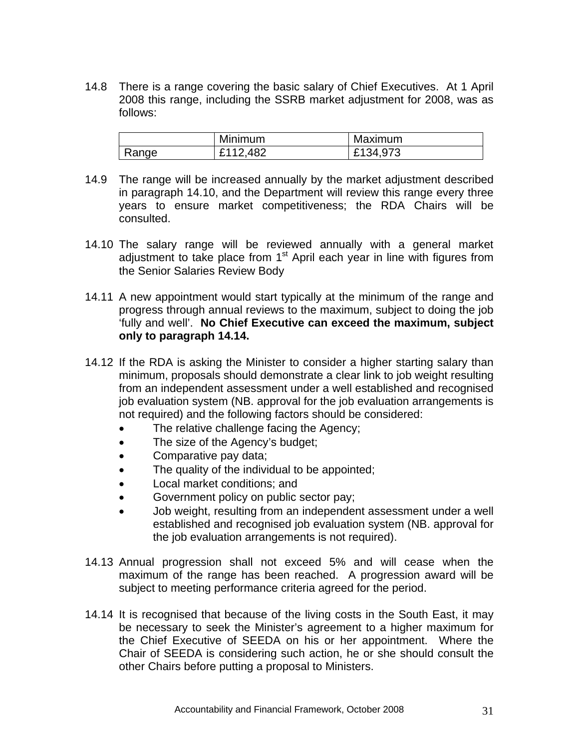14.8 There is a range covering the basic salary of Chief Executives. At 1 April 2008 this range, including the SSRB market adjustment for 2008, was as follows:

|       | Minimum  | Maximum  |
|-------|----------|----------|
| Range | £112,482 | £134,973 |

- 14.9 The range will be increased annually by the market adjustment described in paragraph 14.10, and the Department will review this range every three years to ensure market competitiveness; the RDA Chairs will be consulted.
- 14.10 The salary range will be reviewed annually with a general market adjustment to take place from 1<sup>st</sup> April each year in line with figures from the Senior Salaries Review Body
- 14.11 A new appointment would start typically at the minimum of the range and progress through annual reviews to the maximum, subject to doing the job 'fully and well'. **No Chief Executive can exceed the maximum, subject only to paragraph 14.14.**
- 14.12 If the RDA is asking the Minister to consider a higher starting salary than minimum, proposals should demonstrate a clear link to job weight resulting from an independent assessment under a well established and recognised job evaluation system (NB. approval for the job evaluation arrangements is not required) and the following factors should be considered:
	- The relative challenge facing the Agency;
	- The size of the Agency's budget;
	- Comparative pay data;
	- The quality of the individual to be appointed;
	- Local market conditions; and
	- Government policy on public sector pay;
	- Job weight, resulting from an independent assessment under a well established and recognised job evaluation system (NB. approval for the job evaluation arrangements is not required).
- 14.13 Annual progression shall not exceed 5% and will cease when the maximum of the range has been reached. A progression award will be subject to meeting performance criteria agreed for the period.
- 14.14 It is recognised that because of the living costs in the South East, it may be necessary to seek the Minister's agreement to a higher maximum for the Chief Executive of SEEDA on his or her appointment. Where the Chair of SEEDA is considering such action, he or she should consult the other Chairs before putting a proposal to Ministers.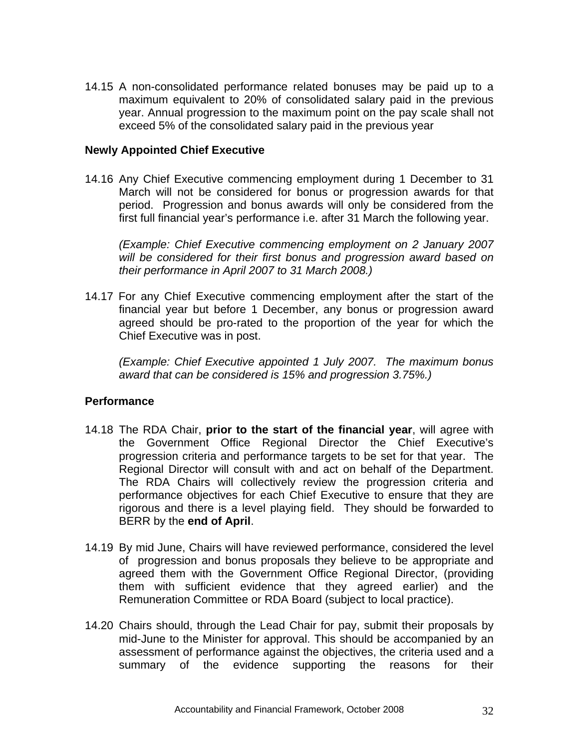<span id="page-32-0"></span>14.15 A non-consolidated performance related bonuses may be paid up to a maximum equivalent to 20% of consolidated salary paid in the previous year. Annual progression to the maximum point on the pay scale shall not exceed 5% of the consolidated salary paid in the previous year

#### **Newly Appointed Chief Executive**

14.16 Any Chief Executive commencing employment during 1 December to 31 March will not be considered for bonus or progression awards for that period. Progression and bonus awards will only be considered from the first full financial year's performance i.e. after 31 March the following year.

*(Example: Chief Executive commencing employment on 2 January 2007 will be considered for their first bonus and progression award based on their performance in April 2007 to 31 March 2008.)* 

14.17 For any Chief Executive commencing employment after the start of the financial year but before 1 December, any bonus or progression award agreed should be pro-rated to the proportion of the year for which the Chief Executive was in post.

*(Example: Chief Executive appointed 1 July 2007. The maximum bonus award that can be considered is 15% and progression 3.75%.)* 

#### **Performance**

- 14.18 The RDA Chair, **prior to the start of the financial year**, will agree with the Government Office Regional Director the Chief Executive's progression criteria and performance targets to be set for that year. The Regional Director will consult with and act on behalf of the Department. The RDA Chairs will collectively review the progression criteria and performance objectives for each Chief Executive to ensure that they are rigorous and there is a level playing field. They should be forwarded to BERR by the **end of April**.
- 14.19 By mid June, Chairs will have reviewed performance, considered the level of progression and bonus proposals they believe to be appropriate and agreed them with the Government Office Regional Director, (providing them with sufficient evidence that they agreed earlier) and the Remuneration Committee or RDA Board (subject to local practice).
- 14.20 Chairs should, through the Lead Chair for pay, submit their proposals by mid-June to the Minister for approval. This should be accompanied by an assessment of performance against the objectives, the criteria used and a summary of the evidence supporting the reasons for their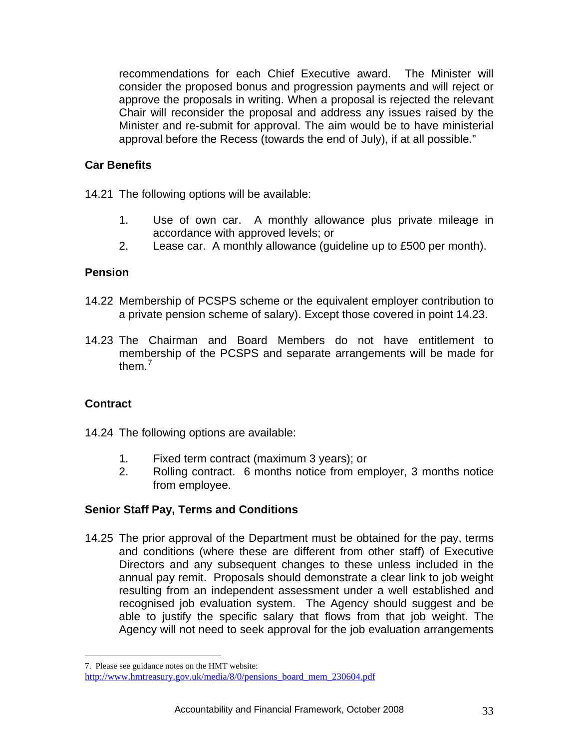<span id="page-33-0"></span>recommendations for each Chief Executive award. The Minister will consider the proposed bonus and progression payments and will reject or approve the proposals in writing. When a proposal is rejected the relevant Chair will reconsider the proposal and address any issues raised by the Minister and re-submit for approval. The aim would be to have ministerial approval before the Recess (towards the end of July), if at all possible."

#### **Car Benefits**

14.21 The following options will be available:

- 1. Use of own car. A monthly allowance plus private mileage in accordance with approved levels; or
- 2. Lease car. A monthly allowance (guideline up to £500 per month).

#### **Pension**

- 14.22 Membership of PCSPS scheme or the equivalent employer contribution to a private pension scheme of salary). Except those covered in point 14.23.
- 14.23 The Chairman and Board Members do not have entitlement to membership of the PCSPS and separate arrangements will be made for them  $<sup>7</sup>$  $<sup>7</sup>$  $<sup>7</sup>$ </sup>

#### **Contract**

 $\overline{a}$ 

- 14.24 The following options are available:
	- 1. Fixed term contract (maximum 3 years); or
	- 2. Rolling contract. 6 months notice from employer, 3 months notice from employee.

#### **Senior Staff Pay, Terms and Conditions**

14.25 The prior approval of the Department must be obtained for the pay, terms and conditions (where these are different from other staff) of Executive Directors and any subsequent changes to these unless included in the annual pay remit. Proposals should demonstrate a clear link to job weight resulting from an independent assessment under a well established and recognised job evaluation system. The Agency should suggest and be able to justify the specific salary that flows from that job weight. The Agency will not need to seek approval for the job evaluation arrangements

<span id="page-33-1"></span><sup>7.</sup> Please see guidance notes on the HMT website: http://www.hmtreasury.gov.uk/media/8/0/pensions\_board\_mem\_230604.pdf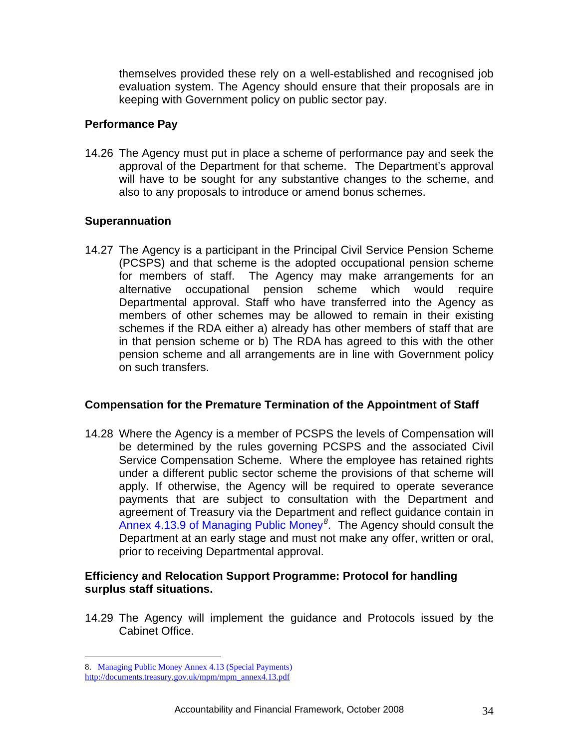<span id="page-34-0"></span>themselves provided these rely on a well-established and recognised job evaluation system. The Agency should ensure that their proposals are in keeping with Government policy on public sector pay.

#### **Performance Pay**

14.26The Agency must put in place a scheme of performance pay and seek the approval of the Department for that scheme. The Department's approval will have to be sought for any substantive changes to the scheme, and also to any proposals to introduce or amend bonus schemes.

#### **Superannuation**

14.27 The Agency is a participant in the Principal Civil Service Pension Scheme (PCSPS) and that scheme is the adopted occupational pension scheme for members of staff. The Agency may make arrangements for an alternative occupational pension scheme which would require Departmental approval. Staff who have transferred into the Agency as members of other schemes may be allowed to remain in their existing schemes if the RDA either a) already has other members of staff that are in that pension scheme or b) The RDA has agreed to this with the other pension scheme and all arrangements are in line with Government policy on such transfers.

#### **Compensation for the Premature Termination of the Appointment of Staff**

14.28 Where the Agency is a member of PCSPS the levels of Compensation will be determined by the rules governing PCSPS and the associated Civil Service Compensation Scheme. Where the employee has retained rights under a different public sector scheme the provisions of that scheme will apply. If otherwise, the Agency will be required to operate severance payments that are subject to consultation with the Department and agreement of Treasury via the Department and reflect guidance contain in Annex 4.13.9 of Managing Public Money*[8](#page-34-1) .* The Agency should consult the Department at an early stage and must not make any offer, written or oral, prior to receiving Departmental approval.

#### **Efficiency and Relocation Support Programme: Protocol for handling surplus staff situations.**

14.29 The Agency will implement the guidance and Protocols issued by the Cabinet Office.

 $\overline{a}$ 

<span id="page-34-1"></span><sup>8.</sup> Managing Public Money Annex 4.13 (Special Payments)

[http://documents.treasury.gov.uk/mpm/mpm\\_annex4.13.pdf](http://documents.treasury.gov.uk/mpm/mpm_annex4.13.pdf)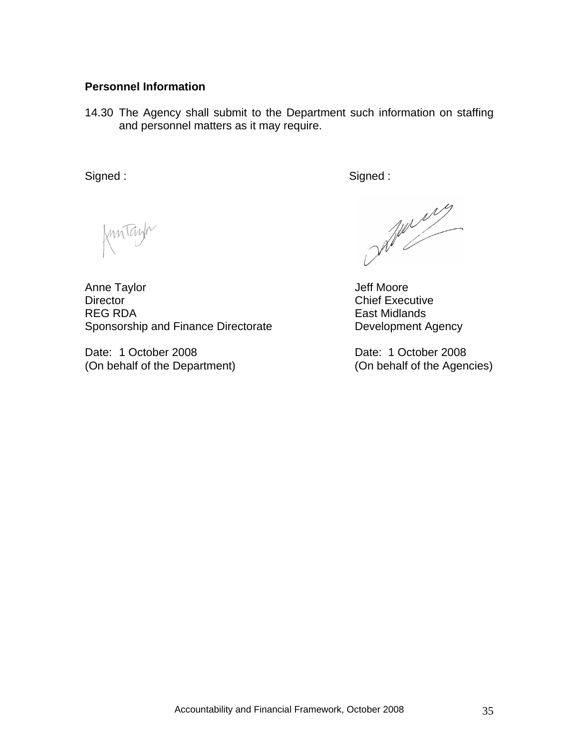#### <span id="page-35-0"></span>**Personnel Information**

14.30 The Agency shall submit to the Department such information on staffing and personnel matters as it may require.

Signed : Signed : Signed : Signed : Signed : Signed : Signed : Signed : Signed : Signed : Signed : Signed : Signed : Signed : Signed : Signed : Signed : Signed : Signed : Signed : Signed : Signed : Signed : Signed : Signed

Kuntayn

Anne Taylor **Anne Taylor Jeff Moore** Director **Chief Executive** REG RDA East Midlands Sponsorship and Finance Directorate **Directorate** Development Agency

Date: 1 October 2008 Date: 1 October 2008 (On behalf of the Department) (On behalf of the Agencies)

July 19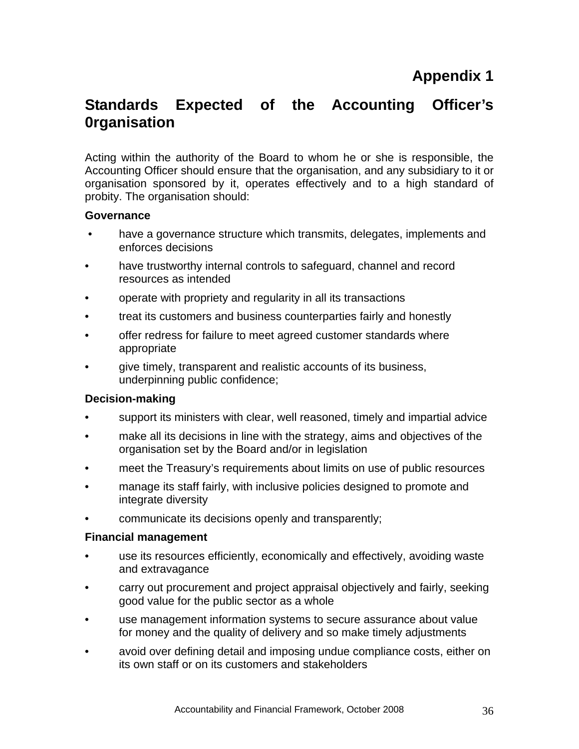## <span id="page-36-0"></span>**Standards Expected of the Accounting Officer's 0rganisation**

Acting within the authority of the Board to whom he or she is responsible, the Accounting Officer should ensure that the organisation, and any subsidiary to it or organisation sponsored by it, operates effectively and to a high standard of probity. The organisation should:

#### **Governance**

- have a governance structure which transmits, delegates, implements and enforces decisions
- have trustworthy internal controls to safeguard, channel and record resources as intended
- operate with propriety and regularity in all its transactions
- treat its customers and business counterparties fairly and honestly
- offer redress for failure to meet agreed customer standards where appropriate
- give timely, transparent and realistic accounts of its business, underpinning public confidence;

#### **Decision-making**

- support its ministers with clear, well reasoned, timely and impartial advice
- make all its decisions in line with the strategy, aims and objectives of the organisation set by the Board and/or in legislation
- meet the Treasury's requirements about limits on use of public resources
- manage its staff fairly, with inclusive policies designed to promote and integrate diversity
- communicate its decisions openly and transparently;

#### **Financial management**

- use its resources efficiently, economically and effectively, avoiding waste and extravagance
- carry out procurement and project appraisal objectively and fairly, seeking good value for the public sector as a whole
- use management information systems to secure assurance about value for money and the quality of delivery and so make timely adjustments
- avoid over defining detail and imposing undue compliance costs, either on its own staff or on its customers and stakeholders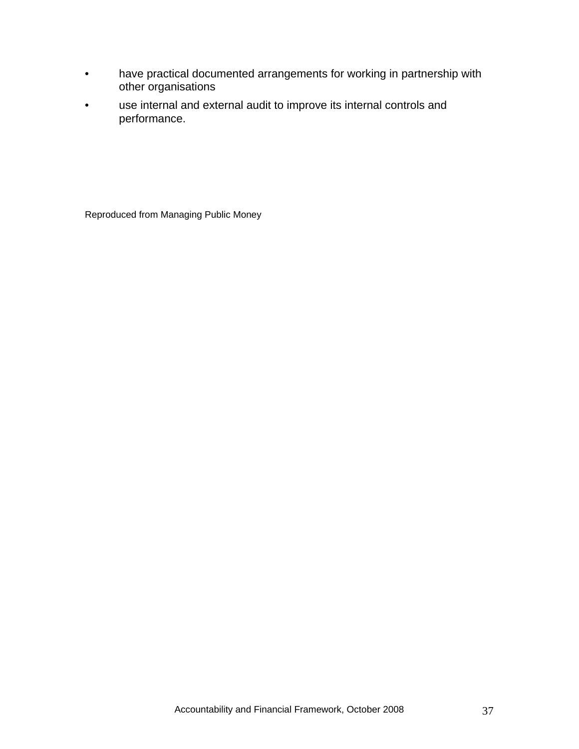- have practical documented arrangements for working in partnership with other organisations
- use internal and external audit to improve its internal controls and performance.

Reproduced from Managing Public Money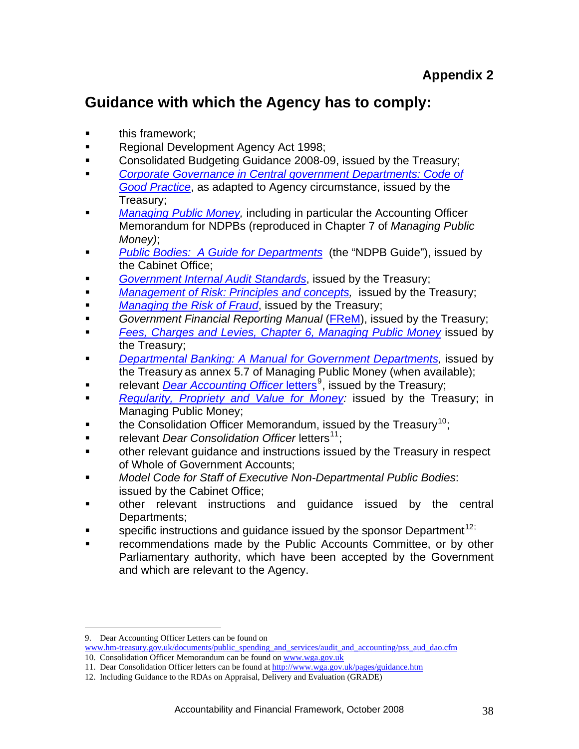## <span id="page-38-0"></span>**Guidance with which the Agency has to comply:**

- this framework;
- Regional Development Agency Act 1998;
- **Consolidated Budgeting Guidance 2008-09, issued by the Treasury;**
- *[Corporate Governance in Central government Departments: Code of](http://hm-treasury.gov.uk/media/4/8/daocorpgovernancecode.pdf)  [Good Practice](http://hm-treasury.gov.uk/media/4/8/daocorpgovernancecode.pdf)*, as adapted to Agency circumstance, issued by the Treasury;
- *[Managing Public Money,](http://www.hm-treasury.gov.uk/documents/public_spending_reporting/governance_risk/psr_managingpublicmoney_index.cfm)* including in particular the Accounting Officer Memorandum for NDPBs (reproduced in Chapter 7 of *Managing Public Money)*;
- *[Public Bodies: A Guide for Departments](http://www.civilservice.gov.uk/documents/pdf/public_bodies/2006/4_setting_up_execv2.pdf)* (the "NDPB Guide"), issued by the Cabinet Office;
- *[Government Internal Audit Standards](http://www.hm-treasury.gov.uk./media/6/6/GIAS_2001(272Kb).pdf)*, issued by the Treasury;
- *[Management of Risk: Principles and concepts](http://www.hm-treasury.gov.uk./media/3/5/FE66035B-BCDC-D4B3-11057A7707D2521F.pdf)*, *issued by the Treasury*;
- *[Managing the Risk of Fraud](http://www.hm-treasury.gov.uk./media/C/3/managing_the_risk_fraud_guide_for_managers.pdf)*, issued by the Treasury;
- **Government Financial Reporting Manual ([FReM](http://www.financial-reporting.gov.uk/2007-08%20FREM%20-%20FULL%20VERSION.pdf)), issued by the Treasury;**
- *[Fees, Charges and Levies, Chapter 6, Managing Public Money](http://documents.treasury.gov.uk/mpm/mpm_ch6.pdf)* issued by the Treasury;
- **[Departmental Banking: A Manual for Government Departments,](http://documents.treasury.gov.uk/mpm/mpm_annex5.7.pdf) issued by** the Treasury as annex 5.7 of Managing Public Money (when available);
- relevant *[Dear Accounting Officer](http://www.hm-treasury.gov.uk./documents/public_spending_reporting/governance_risk/psr_governance_dao_letters.cfm)* letters<sup>[9](#page-38-1)</sup>, issued by the Treasury;
- **[Regularity, Propriety and Value for Money](http://documents.treasury.gov.uk/mpm/mpm_annex5.7.pdf): issued by the Treasury; in** Managing Public Money;
- the Consolidation Officer Memorandum, issued by the Treasury<sup>[10](#page-38-2)</sup>:
- **Fig. 3** relevant *Dear Consolidation Officer* letters<sup>[11](#page-38-3)</sup>:
- other relevant guidance and instructions issued by the Treasury in respect of Whole of Government Accounts;
- *Model Code for Staff of Executive Non-Departmental Public Bodies*: issued by the Cabinet Office;
- other relevant instructions and guidance issued by the central Departments;
- **specific instructions and guidance issued by the sponsor Department**<sup>[12](#page-38-4);</sup>
- recommendations made by the Public Accounts Committee, or by other Parliamentary authority, which have been accepted by the Government and which are relevant to the Agency.

 $\overline{a}$ 

<span id="page-38-1"></span><sup>9.</sup> Dear Accounting Officer Letters can be found on

<span id="page-38-2"></span>www.hm-treasury.gov.uk/documents/public\_spending\_and\_services/audit\_and\_accounting/pss\_aud\_dao.cfm

<sup>10.</sup> Consolidation Officer Memorandum can be found on www.wga.gov.uk

<span id="page-38-3"></span><sup>11.</sup> Dear Consolidation Officer letters can be found at<http://www.wga.gov.uk/pages/guidance.htm>

<span id="page-38-4"></span><sup>12.</sup> Including Guidance to the RDAs on Appraisal, Delivery and Evaluation (GRADE)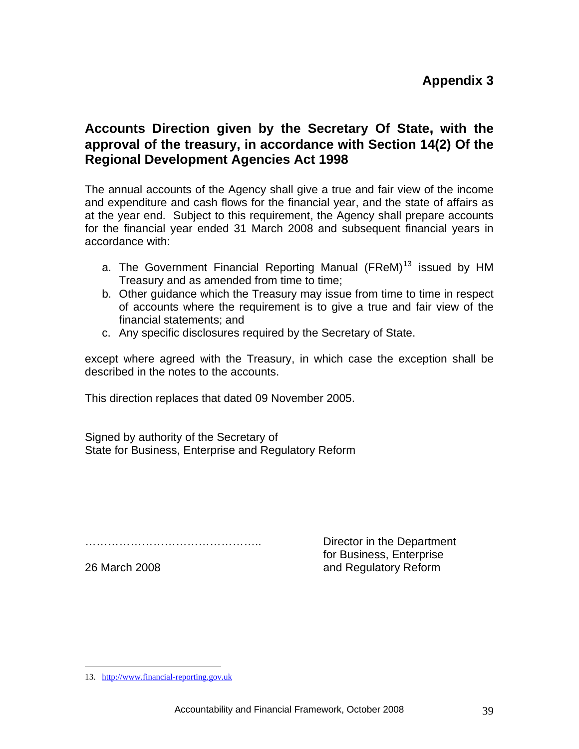## <span id="page-39-0"></span>**Accounts Direction given by the Secretary Of State, with the approval of the treasury, in accordance with Section 14(2) Of the Regional Development Agencies Act 1998**

The annual accounts of the Agency shall give a true and fair view of the income and expenditure and cash flows for the financial year, and the state of affairs as at the year end. Subject to this requirement, the Agency shall prepare accounts for the financial year ended 31 March 2008 and subsequent financial years in accordance with:

- a. The Government Financial Reporting Manual (FReM)<sup>[13](#page-39-1)</sup> issued by HM Treasury and as amended from time to time;
- b. Other guidance which the Treasury may issue from time to time in respect of accounts where the requirement is to give a true and fair view of the financial statements; and
- c. Any specific disclosures required by the Secretary of State.

except where agreed with the Treasury, in which case the exception shall be described in the notes to the accounts.

This direction replaces that dated 09 November 2005.

Signed by authority of the Secretary of State for Business, Enterprise and Regulatory Reform

……………………………………….. Director in the Department

 for Business, Enterprise 26 March 2008 **and Regulatory Reform** 

<span id="page-39-1"></span> $\overline{a}$ 13. [http://www.financial-reporting.gov.uk](http://www.financial-reporting.gov.uk/)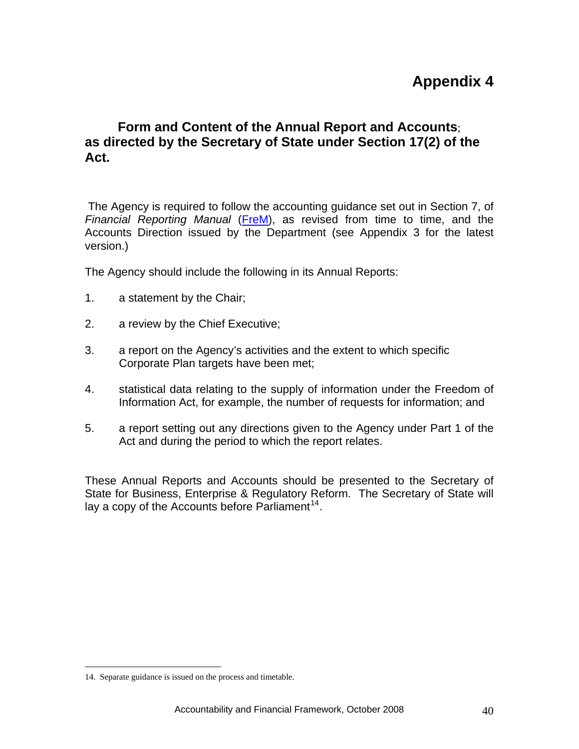## **Appendix 4**

## <span id="page-40-0"></span>**Form and Content of the Annual Report and Accounts**; **as directed by the Secretary of State under Section 17(2) of the Act.**

 The Agency is required to follow the accounting guidance set out in Section 7, of *Financial Reporting Manual* ([FreM\)](http://www.financial-reporting.gov.uk/2007-08%20FREM%20-%20FULL%20VERSION.pdf), as revised from time to time, and the Accounts Direction issued by the Department (see Appendix 3 for the latest version.)

The Agency should include the following in its Annual Reports:

- 1. a statement by the Chair;
- 2. a review by the Chief Executive;
- 3. a report on the Agency's activities and the extent to which specific Corporate Plan targets have been met;
- 4. statistical data relating to the supply of information under the Freedom of Information Act, for example, the number of requests for information; and
- 5. a report setting out any directions given to the Agency under Part 1 of the Act and during the period to which the report relates.

These Annual Reports and Accounts should be presented to the Secretary of State for Business, Enterprise & Regulatory Reform. The Secretary of State will lay a copy of the Accounts before Parliament<sup>[14](#page-40-1)</sup>.

 $\overline{a}$ 

<span id="page-40-1"></span><sup>14.</sup> Separate guidance is issued on the process and timetable.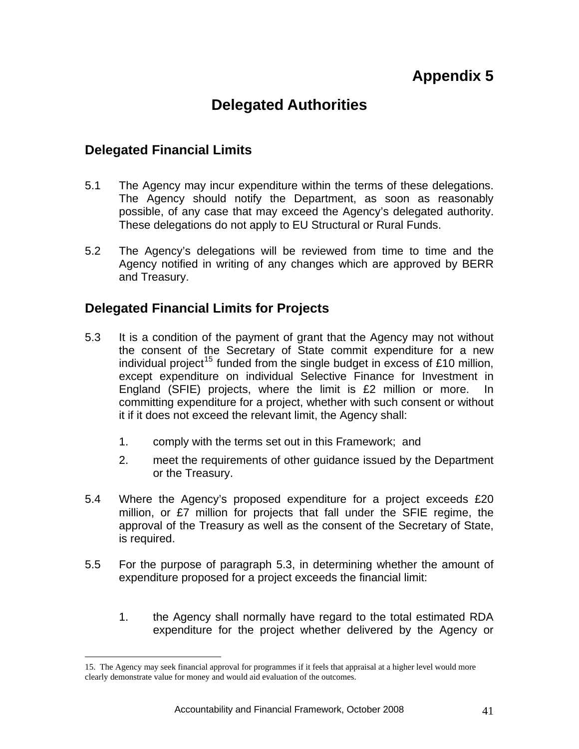## **Appendix 5**

## **Delegated Authorities**

## <span id="page-41-0"></span>**Delegated Financial Limits**

 $\overline{a}$ 

- 5.1 The Agency may incur expenditure within the terms of these delegations. The Agency should notify the Department, as soon as reasonably possible, of any case that may exceed the Agency's delegated authority. These delegations do not apply to EU Structural or Rural Funds.
- 5.2 The Agency's delegations will be reviewed from time to time and the Agency notified in writing of any changes which are approved by BERR and Treasury.

## **Delegated Financial Limits for Projects**

- 5.3 It is a condition of the payment of grant that the Agency may not without the consent of the Secretary of State commit expenditure for a new individual project<sup>[15](#page-41-1)</sup> funded from the single budget in excess of £10 million, except expenditure on individual Selective Finance for Investment in England (SFIE) projects, where the limit is £2 million or more. In committing expenditure for a project, whether with such consent or without it if it does not exceed the relevant limit, the Agency shall:
	- 1. comply with the terms set out in this Framework; and
	- 2. meet the requirements of other guidance issued by the Department or the Treasury.
- 5.4 Where the Agency's proposed expenditure for a project exceeds £20 million, or £7 million for projects that fall under the SFIE regime, the approval of the Treasury as well as the consent of the Secretary of State, is required.
- 5.5 For the purpose of paragraph 5.3, in determining whether the amount of expenditure proposed for a project exceeds the financial limit:
	- 1. the Agency shall normally have regard to the total estimated RDA expenditure for the project whether delivered by the Agency or

<span id="page-41-1"></span><sup>15.</sup> The Agency may seek financial approval for programmes if it feels that appraisal at a higher level would more clearly demonstrate value for money and would aid evaluation of the outcomes.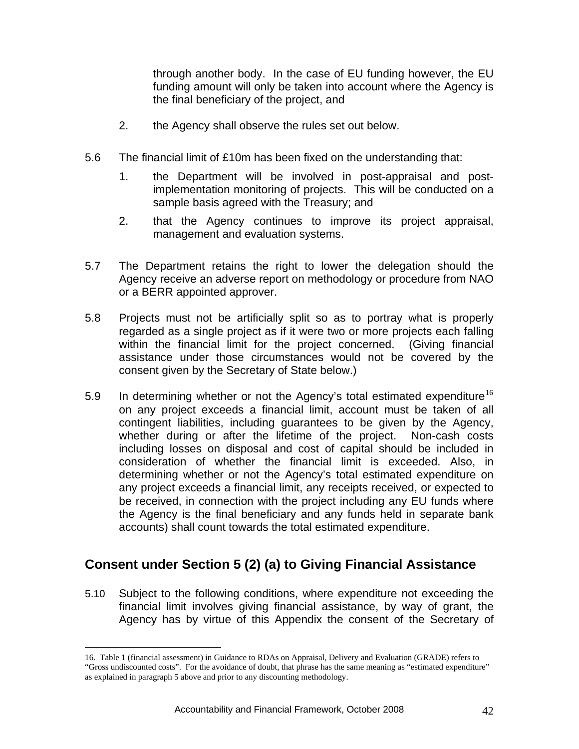<span id="page-42-0"></span>through another body. In the case of EU funding however, the EU funding amount will only be taken into account where the Agency is the final beneficiary of the project, and

- 2. the Agency shall observe the rules set out below.
- 5.6 The financial limit of £10m has been fixed on the understanding that:
	- 1. the Department will be involved in post-appraisal and postimplementation monitoring of projects. This will be conducted on a sample basis agreed with the Treasury; and
	- 2. that the Agency continues to improve its project appraisal, management and evaluation systems.
- 5.7 The Department retains the right to lower the delegation should the Agency receive an adverse report on methodology or procedure from NAO or a BERR appointed approver.
- 5.8 Projects must not be artificially split so as to portray what is properly regarded as a single project as if it were two or more projects each falling within the financial limit for the project concerned. (Giving financial assistance under those circumstances would not be covered by the consent given by the Secretary of State below.)
- 5.9 In determining whether or not the Agency's total estimated expenditure<sup>[16](#page-42-1)</sup> on any project exceeds a financial limit, account must be taken of all contingent liabilities, including guarantees to be given by the Agency, whether during or after the lifetime of the project. Non-cash costs including losses on disposal and cost of capital should be included in consideration of whether the financial limit is exceeded. Also, in determining whether or not the Agency's total estimated expenditure on any project exceeds a financial limit, any receipts received, or expected to be received, in connection with the project including any EU funds where the Agency is the final beneficiary and any funds held in separate bank accounts) shall count towards the total estimated expenditure.

## **Consent under Section 5 (2) (a) to Giving Financial Assistance**

5.10 Subject to the following conditions, where expenditure not exceeding the financial limit involves giving financial assistance, by way of grant, the Agency has by virtue of this Appendix the consent of the Secretary of

 $\overline{a}$ 

<span id="page-42-1"></span><sup>16.</sup> Table 1 (financial assessment) in Guidance to RDAs on Appraisal, Delivery and Evaluation (GRADE) refers to "Gross undiscounted costs". For the avoidance of doubt, that phrase has the same meaning as "estimated expenditure" as explained in paragraph 5 above and prior to any discounting methodology.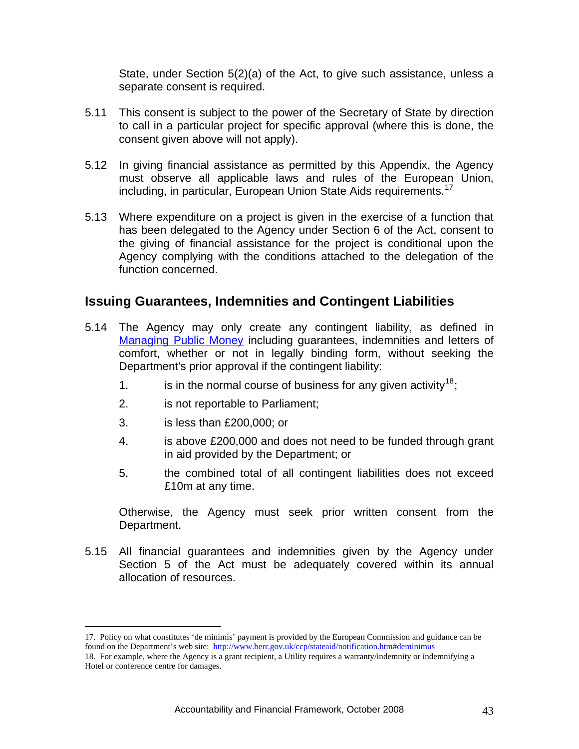State, under Section 5(2)(a) of the Act, to give such assistance, unless a separate consent is required.

- <span id="page-43-0"></span>5.11 This consent is subject to the power of the Secretary of State by direction to call in a particular project for specific approval (where this is done, the consent given above will not apply).
- 5.12 In giving financial assistance as permitted by this Appendix, the Agency must observe all applicable laws and rules of the European Union, including, in particular, European Union State Aids requirements.<sup>[17](#page-43-1)</sup>
- 5.13 Where expenditure on a project is given in the exercise of a function that has been delegated to the Agency under Section 6 of the Act, consent to the giving of financial assistance for the project is conditional upon the Agency complying with the conditions attached to the delegation of the function concerned.

## **Issuing Guarantees, Indemnities and Contingent Liabilities**

- 5.14 The Agency may only create any contingent liability, as defined in [Managing Public Money](http://documents.treasury.gov.uk/mpm/mpm_annex5.5.pdf) including guarantees, indemnities and letters of comfort, whether or not in legally binding form, without seeking the Department's prior approval if the contingent liability:
	- 1. is in the normal course of business for any given activity<sup>[18](#page-43-2)</sup>;
	- 2. is not reportable to Parliament;
	- 3. is less than £200,000; or

 $\overline{a}$ 

- 4. is above £200,000 and does not need to be funded through grant in aid provided by the Department; or
- 5. the combined total of all contingent liabilities does not exceed £10m at any time.

Otherwise, the Agency must seek prior written consent from the Department.

5.15 All financial guarantees and indemnities given by the Agency under Section 5 of the Act must be adequately covered within its annual allocation of resources.

<span id="page-43-1"></span><sup>17.</sup> Policy on what constitutes 'de minimis' payment is provided by the European Commission and guidance can be found on the Department's web site: http://www.berr.gov.uk/ccp/stateaid/notification.htm#deminimus

<span id="page-43-2"></span><sup>18.</sup> For example, where the Agency is a grant recipient, a Utility requires a warranty/indemnity or indemnifying a Hotel or conference centre for damages.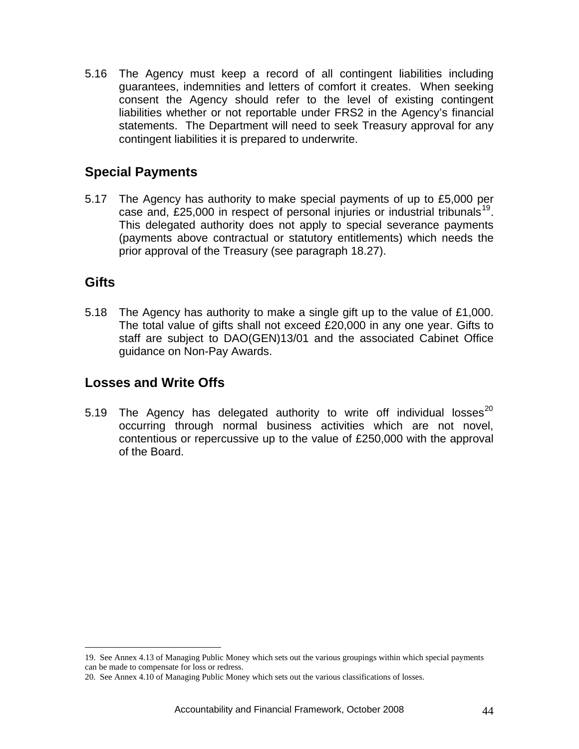<span id="page-44-0"></span>5.16 The Agency must keep a record of all contingent liabilities including guarantees, indemnities and letters of comfort it creates. When seeking consent the Agency should refer to the level of existing contingent liabilities whether or not reportable under FRS2 in the Agency's financial statements. The Department will need to seek Treasury approval for any contingent liabilities it is prepared to underwrite.

## **Special Payments**

5.17 The Agency has authority to make special payments of up to £5,000 per case and, £25,000 in respect of personal injuries or industrial tribunals<sup>[19](#page-44-1)</sup>. This delegated authority does not apply to special severance payments (payments above contractual or statutory entitlements) which needs the prior approval of the Treasury (see paragraph 18.27).

## **Gifts**

 $\overline{a}$ 

5.18 The Agency has authority to make a single gift up to the value of £1,000. The total value of gifts shall not exceed £20,000 in any one year. Gifts to staff are subject to DAO(GEN)13/01 and the associated Cabinet Office guidance on Non-Pay Awards.

## **Losses and Write Offs**

5.19 The Agency has delegated authority to write off individual losses<sup>[20](#page-44-2)</sup> occurring through normal business activities which are not novel, contentious or repercussive up to the value of £250,000 with the approval of the Board.

<span id="page-44-1"></span><sup>19.</sup> See Annex 4.13 of Managing Public Money which sets out the various groupings within which special payments can be made to compensate for loss or redress.

<span id="page-44-2"></span><sup>20.</sup> See Annex 4.10 of Managing Public Money which sets out the various classifications of losses.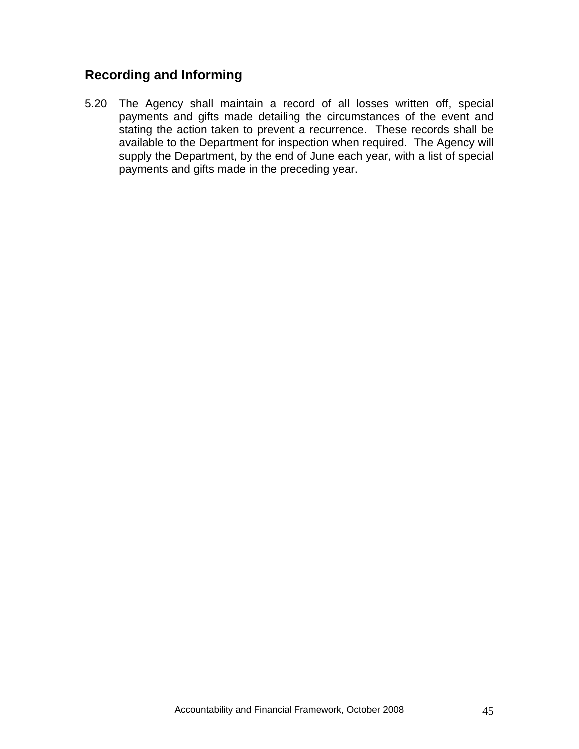## <span id="page-45-0"></span>**Recording and Informing**

5.20 The Agency shall maintain a record of all losses written off, special payments and gifts made detailing the circumstances of the event and stating the action taken to prevent a recurrence. These records shall be available to the Department for inspection when required. The Agency will supply the Department, by the end of June each year, with a list of special payments and gifts made in the preceding year.